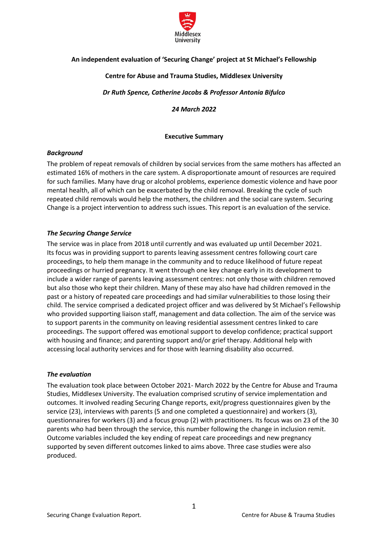

# **An independent evaluation of 'Securing Change' project at St Michael's Fellowship**

## **Centre for Abuse and Trauma Studies, Middlesex University**

*Dr Ruth Spence, Catherine Jacobs & Professor Antonia Bifulco*

*24 March 2022*

**Executive Summary**

## <span id="page-0-0"></span>*Background*

The problem of repeat removals of children by social services from the same mothers has affected an estimated 16% of mothers in the care system. A disproportionate amount of resources are required for such families. Many have drug or alcohol problems, experience domestic violence and have poor mental health, all of which can be exacerbated by the child removal. Breaking the cycle of such repeated child removals would help the mothers, the children and the social care system. Securing Change is a project intervention to address such issues. This report is an evaluation of the service.

## *The Securing Change Service*

The service was in place from 2018 until currently and was evaluated up until December 2021. Its focus was in providing support to parents leaving assessment centres following court care proceedings, to help them manage in the community and to reduce likelihood of future repeat proceedings or hurried pregnancy. It went through one key change early in its development to include a wider range of parents leaving assessment centres: not only those with children removed but also those who kept their children. Many of these may also have had children removed in the past or a history of repeated care proceedings and had similar vulnerabilities to those losing their child. The service comprised a dedicated project officer and was delivered by St Michael's Fellowship who provided supporting liaison staff, management and data collection. The aim of the service was to support parents in the community on leaving residential assessment centres linked to care proceedings. The support offered was emotional support to develop confidence; practical support with housing and finance; and parenting support and/or grief therapy. Additional help with accessing local authority services and for those with learning disability also occurred.

## *The evaluation*

The evaluation took place between October 2021- March 2022 by the Centre for Abuse and Trauma Studies, Middlesex University. The evaluation comprised scrutiny of service implementation and outcomes. It involved reading Securing Change reports, exit/progress questionnaires given by the service (23), interviews with parents (5 and one completed a questionnaire) and workers (3), questionnaires for workers (3) and a focus group (2) with practitioners. Its focus was on 23 of the 30 parents who had been through the service, this number following the change in inclusion remit. Outcome variables included the key ending of repeat care proceedings and new pregnancy supported by seven different outcomes linked to aims above. Three case studies were also produced.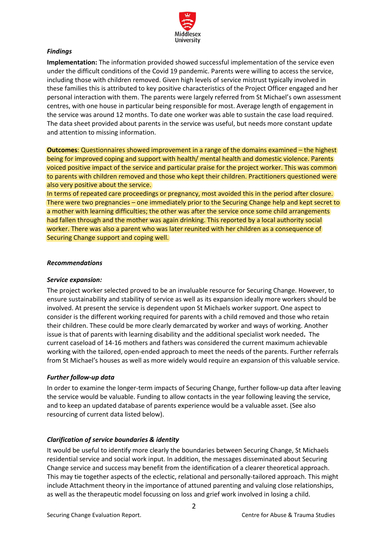

## *Findings*

**Implementation:** The information provided showed successful implementation of the service even under the difficult conditions of the Covid 19 pandemic. Parents were willing to access the service, including those with children removed. Given high levels of service mistrust typically involved in these families this is attributed to key positive characteristics of the Project Officer engaged and her personal interaction with them. The parents were largely referred from St Michael's own assessment centres, with one house in particular being responsible for most. Average length of engagement in the service was around 12 months. To date one worker was able to sustain the case load required. The data sheet provided about parents in the service was useful, but needs more constant update and attention to missing information.

**Outcomes**: Questionnaires showed improvement in a range of the domains examined – the highest being for improved coping and support with health/ mental health and domestic violence. Parents voiced positive impact of the service and particular praise for the project worker. This was common to parents with children removed and those who kept their children. Practitioners questioned were also very positive about the service.

In terms of repeated care proceedings or pregnancy, most avoided this in the period after closure. There were two pregnancies – one immediately prior to the Securing Change help and kept secret to a mother with learning difficulties; the other was after the service once some child arrangements had fallen through and the mother was again drinking. This reported by a local authority social worker. There was also a parent who was later reunited with her children as a consequence of Securing Change support and coping well.

## *Recommendations*

# *Service expansion:*

The project worker selected proved to be an invaluable resource for Securing Change. However, to ensure sustainability and stability of service as well as its expansion ideally more workers should be involved. At present the service is dependent upon St Michaels worker support. One aspect to consider is the different working required for parents with a child removed and those who retain their children. These could be more clearly demarcated by worker and ways of working. Another issue is that of parents with learning disability and the additional specialist work needed**.** The current caseload of 14-16 mothers and fathers was considered the current maximum achievable working with the tailored, open-ended approach to meet the needs of the parents. Further referrals from St Michael's houses as well as more widely would require an expansion of this valuable service.

# *Further follow-up data*

In order to examine the longer-term impacts of Securing Change, further follow-up data after leaving the service would be valuable. Funding to allow contacts in the year following leaving the service, and to keep an updated database of parents experience would be a valuable asset. (See also resourcing of current data listed below).

# *Clarification of service boundaries & identity*

It would be useful to identify more clearly the boundaries between Securing Change, St Michaels residential service and social work input. In addition, the messages disseminated about Securing Change service and success may benefit from the identification of a clearer theoretical approach. This may tie together aspects of the eclectic, relational and personally-tailored approach. This might include Attachment theory in the importance of attuned parenting and valuing close relationships, as well as the therapeutic model focussing on loss and grief work involved in losing a child.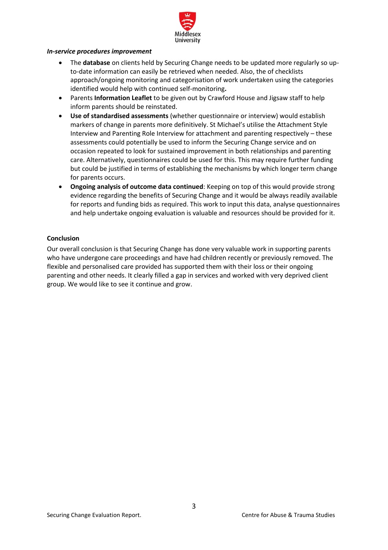

#### *In-service procedures improvement*

- The **database** on clients held by Securing Change needs to be updated more regularly so upto-date information can easily be retrieved when needed. Also, the of checklists approach/ongoing monitoring and categorisation of work undertaken using the categories identified would help with continued self-monitoring**.**
- Parents **Information Leaflet** to be given out by Crawford House and Jigsaw staff to help inform parents should be reinstated.
- **Use of standardised assessments** (whether questionnaire or interview) would establish markers of change in parents more definitively. St Michael's utilise the Attachment Style Interview and Parenting Role Interview for attachment and parenting respectively – these assessments could potentially be used to inform the Securing Change service and on occasion repeated to look for sustained improvement in both relationships and parenting care. Alternatively, questionnaires could be used for this. This may require further funding but could be justified in terms of establishing the mechanisms by which longer term change for parents occurs.
- **Ongoing analysis of outcome data continued**: Keeping on top of this would provide strong evidence regarding the benefits of Securing Change and it would be always readily available for reports and funding bids as required. This work to input this data, analyse questionnaires and help undertake ongoing evaluation is valuable and resources should be provided for it.

## **Conclusion**

Our overall conclusion is that Securing Change has done very valuable work in supporting parents who have undergone care proceedings and have had children recently or previously removed. The flexible and personalised care provided has supported them with their loss or their ongoing parenting and other needs. It clearly filled a gap in services and worked with very deprived client group. We would like to see it continue and grow.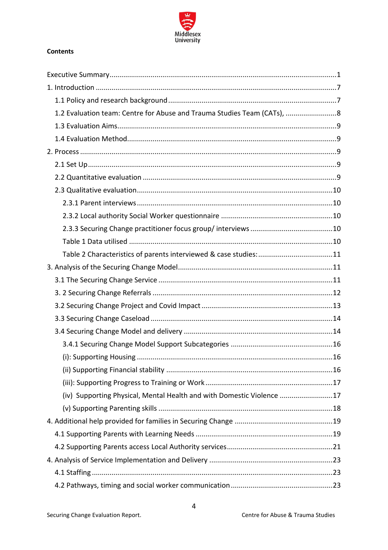

# **Contents**

| 1.2 Evaluation team: Centre for Abuse and Trauma Studies Team (CATs), 8 |  |
|-------------------------------------------------------------------------|--|
|                                                                         |  |
|                                                                         |  |
|                                                                         |  |
|                                                                         |  |
|                                                                         |  |
|                                                                         |  |
|                                                                         |  |
|                                                                         |  |
|                                                                         |  |
|                                                                         |  |
| Table 2 Characteristics of parents interviewed & case studies: 11       |  |
|                                                                         |  |
|                                                                         |  |
|                                                                         |  |
|                                                                         |  |
|                                                                         |  |
|                                                                         |  |
|                                                                         |  |
|                                                                         |  |
|                                                                         |  |
|                                                                         |  |
| (iv) Supporting Physical, Mental Health and with Domestic Violence 17   |  |
|                                                                         |  |
|                                                                         |  |
|                                                                         |  |
|                                                                         |  |
|                                                                         |  |
|                                                                         |  |
|                                                                         |  |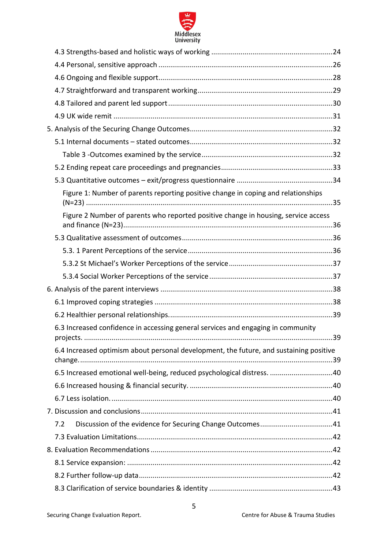

| Figure 1: Number of parents reporting positive change in coping and relationships             |    |
|-----------------------------------------------------------------------------------------------|----|
| Figure 2 Number of parents who reported positive change in housing, service access            |    |
|                                                                                               |    |
|                                                                                               |    |
|                                                                                               |    |
|                                                                                               |    |
|                                                                                               |    |
|                                                                                               |    |
|                                                                                               |    |
| 6.3 Increased confidence in accessing general services and engaging in community<br>nroiects. | 39 |
| 6.4 Increased optimism about personal development, the future, and sustaining positive        |    |
| 6.5 Increased emotional well-being, reduced psychological distress. 40                        |    |
|                                                                                               |    |
|                                                                                               |    |
|                                                                                               |    |
| 7.2                                                                                           |    |
|                                                                                               |    |
|                                                                                               |    |
|                                                                                               |    |
|                                                                                               |    |
|                                                                                               |    |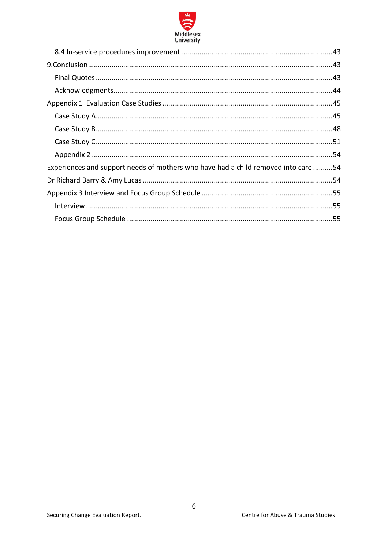

| Experiences and support needs of mothers who have had a child removed into care 54 |  |
|------------------------------------------------------------------------------------|--|
|                                                                                    |  |
|                                                                                    |  |
|                                                                                    |  |
|                                                                                    |  |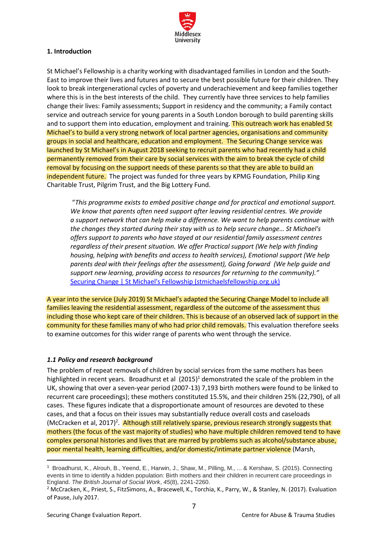

# <span id="page-6-0"></span>**1. Introduction**

St Michael's Fellowship is a charity working with disadvantaged families in London and the South-East to improve their lives and futures and to secure the best possible future for their children. They look to break intergenerational cycles of poverty and underachievement and keep families together where this is in the best interests of the child. They currently have three services to help families change their lives: Family assessments; Support in residency and the community; a Family contact service and outreach service for young parents in a South London borough to build parenting skills and to support them into education, employment and training. This outreach work has enabled St Michael's to build a very strong network of local partner agencies, organisations and community groups in social and healthcare, education and employment. The Securing Change service was launched by St Michael's in August 2018 seeking to recruit parents who had recently had a child permanently removed from their care by social services with the aim to break the cycle of child removal by focusing on the support needs of these parents so that they are able to build an independent future. The project was funded for three years by KPMG Foundation, Philip King Charitable Trust, Pilgrim Trust, and the Big Lottery Fund.

"*This programme exists to embed positive change and for practical and emotional support. We know that parents often need support after leaving residential centres. We provide a support network that can help make a difference. We want to help parents continue with the changes they started during their stay with us to help secure change… St Michael's offers support to parents who have stayed at our residential family assessment centres regardless of their present situation. We offer Practical support (We help with finding housing, helping with benefits and access to health services), Emotional support (We help parents deal with their feelings after the assessment), Going forward (We help guide and support new learning, providing access to resources for returning to the community)."*  [Securing Change | St Michael's Fellowship \(stmichaelsfellowship.org.uk\)](https://www.stmichaelsfellowship.org.uk/securing-change)

A year into the service (July 2019) St Michael's adapted the Securing Change Model to include all families leaving the residential assessment, regardless of the outcome of the assessment thus including those who kept care of their children. This is because of an observed lack of support in the community for these families many of who had prior child removals. This evaluation therefore seeks to examine outcomes for this wider range of parents who went through the service.

# <span id="page-6-1"></span>*1.1 Policy and research background*

The problem of repeat removals of children by social services from the same mothers has been highlighted in recent years. Broadhurst et al  $(2015)^1$  demonstrated the scale of the problem in the UK, showing that over a seven-year period (2007-13) 7,193 birth mothers were found to be linked to recurrent care proceedings); these mothers constituted 15.5%, and their children 25% (22,790), of all cases. These figures indicate that a disproportionate amount of resources are devoted to these cases, and that a focus on their issues may substantially reduce overall costs and caseloads (McCracken et al, 2017)<sup>2</sup>. Although still relatively sparse, previous research strongly suggests that mothers (the focus of the vast majority of studies) who have multiple children removed tend to have complex personal histories and lives that are marred by problems such as alcohol/substance abuse, poor mental health, learning difficulties, and/or domestic/intimate partner violence (Marsh,

<sup>1</sup> Broadhurst, K., Alrouh, B., Yeend, E., Harwin, J., Shaw, M., Pilling, M., ... & Kershaw, S. (2015). Connecting events in time to identify a hidden population: Birth mothers and their children in recurrent care proceedings in England. *The British Journal of Social Work*, *45*(8), 2241-2260.

<sup>2</sup> McCracken, K., Priest, S., FitzSimons, A., Bracewell, K., Torchia, K., Parry, W., & Stanley, N. (2017). Evaluation of Pause, July 2017.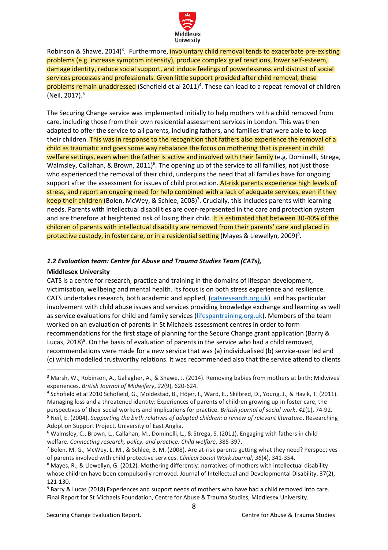

Robinson & Shawe, 2014)<sup>3</sup>. Furthermore, <mark>involuntary child removal tends to exacerbate pre-existing</mark> problems (e.g. increase symptom intensity), produce complex grief reactions, lower self-esteem, damage identity, reduce social support, and induce feelings of powerlessness and distrust of social services processes and professionals. Given little support provided after child removal, these problems remain unaddressed (Schofield et al 2011) 4 . These can lead to a repeat removal of children (Neil, 2017).<sup>5</sup>

The Securing Change service was implemented initially to help mothers with a child removed from care, including those from their own residential assessment services in London. This was then adapted to offer the service to all parents, including fathers, and families that were able to keep their children. This was in response to the recognition that fathers also experience the removal of a child as traumatic and goes some way rebalance the focus on mothering that is present in child welfare settings, even when the father is active and involved with their family (e.g. Dominelli, Strega, Walmsley, Callahan, & Brown, 2011)<sup>6</sup>. The opening up of the service to all families, not just those who experienced the removal of their child, underpins the need that all families have for ongoing support after the assessment for issues of child protection. At-risk parents experience high levels of stress, and report an ongoing need for help combined with a lack of adequate services, even if they keep their children (Bolen, McWey, & Schlee, 2008)<sup>7</sup>. Crucially, this includes parents with learning needs. Parents with intellectual disabilities are over-represented in the care and protection system and are therefore at heightened risk of losing their child. It is estimated that between 30-40% of the children of parents with intellectual disability are removed from their parents' care and placed in protective custody, in foster care, or in a residential setting (Mayes & Llewellyn, 2009)<sup>8</sup>.

## <span id="page-7-0"></span>*1.2 Evaluation team: Centre for Abuse and Trauma Studies Team (CATs),*

## **Middlesex University**

CATS is a centre for research, practice and training in the domains of lifespan development, victimisation, wellbeing and mental health. Its focus is on both stress experience and resilience. CATS undertakes research, both academic and applied, [\(catsresearch.org.uk\)](https://eur02.safelinks.protection.outlook.com/?url=https%3A%2F%2Fcatsresearch.org.uk%2F&data=04%7C01%7CA.Bifulco%40mdx.ac.uk%7Cdebebb11c70d425ab22f08da027538ef%7C38e37b88a3a148cf9f056537427fed24%7C0%7C0%7C637824999725081972%7CUnknown%7CTWFpbGZsb3d8eyJWIjoiMC4wLjAwMDAiLCJQIjoiV2luMzIiLCJBTiI6Ik1haWwiLCJXVCI6Mn0%3D%7C3000&sdata=ECDZz2qBwbp4mOyR1h0G%2FnzG4aysYL3nlPnquNzeSeE%3D&reserved=0) and has particular involvement with child abuse issues and services providing knowledge exchange and learning as well as service evaluations for child and family services [\(lifespantraining.org.uk\)](https://eur02.safelinks.protection.outlook.com/?url=https%3A%2F%2Flifespantraining.org.uk%2F&data=04%7C01%7CA.Bifulco%40mdx.ac.uk%7Cdebebb11c70d425ab22f08da027538ef%7C38e37b88a3a148cf9f056537427fed24%7C0%7C0%7C637824999725081972%7CUnknown%7CTWFpbGZsb3d8eyJWIjoiMC4wLjAwMDAiLCJQIjoiV2luMzIiLCJBTiI6Ik1haWwiLCJXVCI6Mn0%3D%7C3000&sdata=WX1zqrk8PENxkK0EShuIpQVXxmTo1oBL3ef0ZhuJd3U%3D&reserved=0). Members of the team worked on an evaluation of parents in St Michaels assessment centres in order to form recommendations for the first stage of planning for the Secure Change grant application (Barry & Lucas, 2018)<sup>9</sup>. On the basis of evaluation of parents in the service who had a child removed, recommendations were made for a new service that was (a) individualised (b) service-user led and (c) which modelled trustworthy relations. It was recommended also that the service attend to clients

<sup>3</sup> Marsh, W., Robinson, A., Gallagher, A., & Shawe, J. (2014). Removing babies from mothers at birth: Midwives' experiences. *British Journal of Midwifery*, *22*(9), 620-624.

<sup>4</sup> Schofield et al 2010 Schofield, G., Moldestad, B., Höjer, I., Ward, E., Skilbred, D., Young, J., & Havik, T. (2011). Managing loss and a threatened identity: Experiences of parents of children growing up in foster care, the perspectives of their social workers and implications for practice. *British journal of social work*, *41*(1), 74-92. <sup>5</sup> Neil, E. (2004). *Supporting the birth relatives of adopted children: a review of relevant literature*. Researching Adoption Support Project, University of East Anglia.

<sup>6</sup> Walmsley, C., Brown, L., Callahan, M., Dominelli, L., & Strega, S. (2011). Engaging with fathers in child welfare. *Connecting research, policy, and practice: Child welfare*, 385-397.

<sup>7</sup> Bolen, M. G., McWey, L. M., & Schlee, B. M. (2008). Are at-risk parents getting what they need? Perspectives of parents involved with child protective services. *Clinical Social Work Journal*, *36*(4), 341-354.

<sup>8</sup> Mayes, R., & Llewellyn, G. (2012). Mothering differently: narratives of mothers with intellectual disability whose children have been compulsorily removed. Journal of Intellectual and Developmental Disability, 37(2), 121-130.

<sup>9</sup> Barry & Lucas (2018) Experiences and support needs of mothers who have had a child removed into care. Final Report for St Michaels Foundation, Centre for Abuse & Trauma Studies, Middlesex University.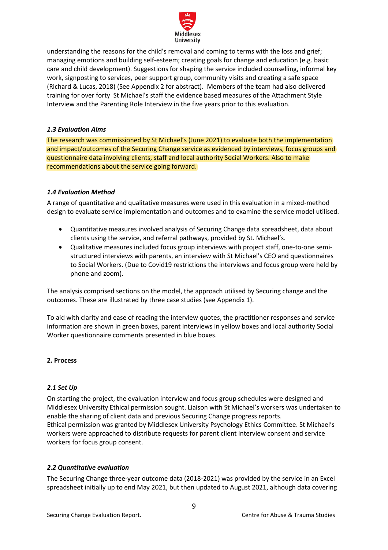

understanding the reasons for the child's removal and coming to terms with the loss and grief; managing emotions and building self-esteem; creating goals for change and education (e.g. basic care and child development). Suggestions for shaping the service included counselling, informal key work, signposting to services, peer support group, community visits and creating a safe space (Richard & Lucas, 2018) (See Appendix 2 for abstract). Members of the team had also delivered training for over forty St Michael's staff the evidence based measures of the Attachment Style Interview and the Parenting Role Interview in the five years prior to this evaluation.

## <span id="page-8-0"></span>*1.3 Evaluation Aims*

The research was commissioned by St Michael's (June 2021) to evaluate both the implementation and impact/outcomes of the Securing Change service as evidenced by interviews, focus groups and questionnaire data involving clients, staff and local authority Social Workers. Also to make recommendations about the service going forward.

# <span id="page-8-1"></span>*1.4 Evaluation Method*

A range of quantitative and qualitative measures were used in this evaluation in a mixed-method design to evaluate service implementation and outcomes and to examine the service model utilised.

- Quantitative measures involved analysis of Securing Change data spreadsheet, data about clients using the service, and referral pathways, provided by St. Michael's.
- Qualitative measures included focus group interviews with project staff, one-to-one semistructured interviews with parents, an interview with St Michael's CEO and questionnaires to Social Workers. (Due to Covid19 restrictions the interviews and focus group were held by phone and zoom).

The analysis comprised sections on the model, the approach utilised by Securing change and the outcomes. These are illustrated by three case studies (see Appendix 1).

To aid with clarity and ease of reading the interview quotes, the practitioner responses and service information are shown in green boxes, parent interviews in yellow boxes and local authority Social Worker questionnaire comments presented in blue boxes.

## <span id="page-8-2"></span>**2. Process**

## <span id="page-8-3"></span>*2.1 Set Up*

On starting the project, the evaluation interview and focus group schedules were designed and Middlesex University Ethical permission sought. Liaison with St Michael's workers was undertaken to enable the sharing of client data and previous Securing Change progress reports. Ethical permission was granted by Middlesex University Psychology Ethics Committee. St Michael's workers were approached to distribute requests for parent client interview consent and service workers for focus group consent.

# <span id="page-8-4"></span>*2.2 Quantitative evaluation*

The Securing Change three-year outcome data (2018-2021) was provided by the service in an Excel spreadsheet initially up to end May 2021, but then updated to August 2021, although data covering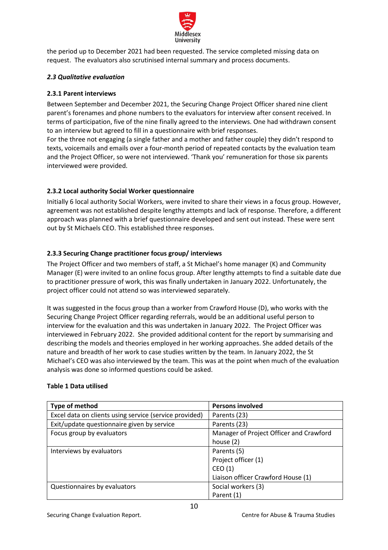

the period up to December 2021 had been requested. The service completed missing data on request. The evaluators also scrutinised internal summary and process documents.

## <span id="page-9-0"></span>*2.3 Qualitative evaluation*

# <span id="page-9-1"></span>**2.3.1 Parent interviews**

Between September and December 2021, the Securing Change Project Officer shared nine client parent's forenames and phone numbers to the evaluators for interview after consent received. In terms of participation, five of the nine finally agreed to the interviews. One had withdrawn consent to an interview but agreed to fill in a questionnaire with brief responses.

For the three not engaging (a single father and a mother and father couple) they didn't respond to texts, voicemails and emails over a four-month period of repeated contacts by the evaluation team and the Project Officer, so were not interviewed. 'Thank you' remuneration for those six parents interviewed were provided.

# <span id="page-9-2"></span>**2.3.2 Local authority Social Worker questionnaire**

Initially 6 local authority Social Workers, were invited to share their views in a focus group. However, agreement was not established despite lengthy attempts and lack of response. Therefore, a different approach was planned with a brief questionnaire developed and sent out instead. These were sent out by St Michaels CEO. This established three responses.

# <span id="page-9-3"></span>**2.3.3 Securing Change practitioner focus group/ interviews**

The Project Officer and two members of staff, a St Michael's home manager (K) and Community Manager (E) were invited to an online focus group. After lengthy attempts to find a suitable date due to practitioner pressure of work, this was finally undertaken in January 2022. Unfortunately, the project officer could not attend so was interviewed separately.

It was suggested in the focus group than a worker from Crawford House (D), who works with the Securing Change Project Officer regarding referrals, would be an additional useful person to interview for the evaluation and this was undertaken in January 2022. The Project Officer was interviewed in February 2022. She provided additional content for the report by summarising and describing the models and theories employed in her working approaches. She added details of the nature and breadth of her work to case studies written by the team. In January 2022, the St Michael's CEO was also interviewed by the team. This was at the point when much of the evaluation analysis was done so informed questions could be asked.

| Type of method                                         | <b>Persons involved</b>                 |
|--------------------------------------------------------|-----------------------------------------|
| Excel data on clients using service (service provided) | Parents (23)                            |
| Exit/update questionnaire given by service             | Parents (23)                            |
| Focus group by evaluators                              | Manager of Project Officer and Crawford |
|                                                        | house $(2)$                             |
| Interviews by evaluators                               | Parents (5)                             |
|                                                        | Project officer (1)                     |
|                                                        | CEO(1)                                  |
|                                                        | Liaison officer Crawford House (1)      |
| Questionnaires by evaluators                           | Social workers (3)                      |
|                                                        | Parent (1)                              |

# <span id="page-9-4"></span>**Table 1 Data utilised**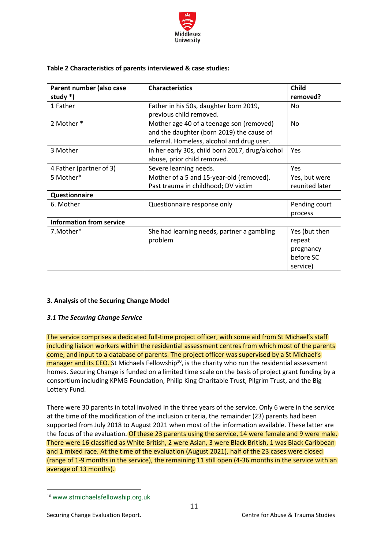

## <span id="page-10-0"></span>**Table 2 Characteristics of parents interviewed & case studies:**

| Parent number (also case        | <b>Characteristics</b>                          | <b>Child</b>   |
|---------------------------------|-------------------------------------------------|----------------|
| study $*)$                      |                                                 | removed?       |
| 1 Father                        | Father in his 50s, daughter born 2019,          | No             |
|                                 | previous child removed.                         |                |
| 2 Mother *                      | Mother age 40 of a teenage son (removed)        | <b>No</b>      |
|                                 | and the daughter (born 2019) the cause of       |                |
|                                 | referral. Homeless, alcohol and drug user.      |                |
| 3 Mother                        | In her early 30s, child born 2017, drug/alcohol | Yes            |
|                                 | abuse, prior child removed.                     |                |
| 4 Father (partner of 3)         | Severe learning needs.                          | Yes            |
| 5 Mother*                       | Mother of a 5 and 15-year-old (removed).        | Yes, but were  |
|                                 | Past trauma in childhood; DV victim             | reunited later |
| Questionnaire                   |                                                 |                |
| 6. Mother                       | Questionnaire response only                     | Pending court  |
|                                 |                                                 | process        |
| <b>Information from service</b> |                                                 |                |
| 7.Mother*                       | She had learning needs, partner a gambling      | Yes (but then  |
|                                 | problem                                         | repeat         |
|                                 |                                                 | pregnancy      |
|                                 |                                                 | before SC      |
|                                 |                                                 | service)       |

## <span id="page-10-1"></span>**3. Analysis of the Securing Change Model**

## <span id="page-10-2"></span>*3.1 The Securing Change Service*

The service comprises a dedicated full-time project officer, with some aid from St Michael's staff including liaison workers within the residential assessment centres from which most of the parents come, and input to a database of parents. The project officer was supervised by a St Michael's manager and its CEO. St Michaels Fellowship<sup>10</sup>, is the charity who run the residential assessment homes. Securing Change is funded on a limited time scale on the basis of project grant funding by a consortium including KPMG Foundation, Philip King Charitable Trust, Pilgrim Trust, and the Big Lottery Fund.

There were 30 parents in total involved in the three years of the service. Only 6 were in the service at the time of the modification of the inclusion criteria, the remainder (23) parents had been supported from July 2018 to August 2021 when most of the information available. These latter are the focus of the evaluation. Of these 23 parents using the service, 14 were female and 9 were male. There were 16 classified as White British, 2 were Asian, 3 were Black British, 1 was Black Caribbean and 1 mixed race. At the time of the evaluation (August 2021), half of the 23 cases were closed (range of 1-9 months in the service), the remaining 11 still open (4-36 months in the service with an average of 13 months).

<sup>10</sup> www.stmichaelsfellowship.org.uk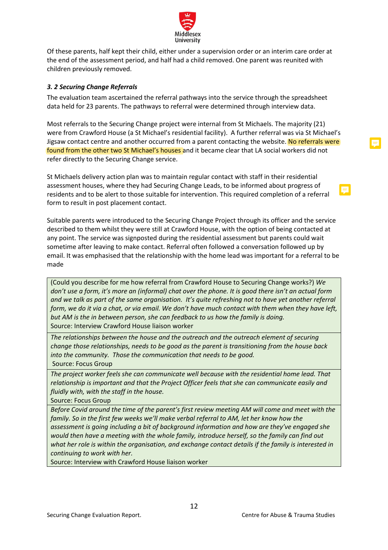

Of these parents, half kept their child, either under a supervision order or an interim care order at the end of the assessment period, and half had a child removed. One parent was reunited with children previously removed.

## <span id="page-11-0"></span>*3. 2 Securing Change Referrals*

The evaluation team ascertained the referral pathways into the service through the spreadsheet data held for 23 parents. The pathways to referral were determined through interview data.

Most referrals to the Securing Change project were internal from St Michaels. The majority (21) were from Crawford House (a St Michael's residential facility). A further referral was via St Michael's Jigsaw contact centre and another occurred from a parent contacting the website. No referrals were found from the other two St Michael's houses and it became clear that LA social workers did not refer directly to the Securing Change service.

St Michaels delivery action plan was to maintain regular contact with staff in their residential assessment houses, where they had Securing Change Leads, to be informed about progress of residents and to be alert to those suitable for intervention. This required completion of a referral form to result in post placement contact.

Suitable parents were introduced to the Securing Change Project through its officer and the service described to them whilst they were still at Crawford House, with the option of being contacted at any point. The service was signposted during the residential assessment but parents could wait sometime after leaving to make contact. Referral often followed a conversation followed up by email. It was emphasised that the relationship with the home lead was important for a referral to be made

(Could you describe for me how referral from Crawford House to Securing Change works?) *We don't use a form, it's more an (informal) chat over the phone. It is good there isn't an actual form and we talk as part of the same organisation. It's quite refreshing not to have yet another referral form, we do it via a chat, or via email. We don't have much contact with them when they have left, but AM is the in between person, she can feedback to us how the family is doing.*  Source: Interview Crawford House liaison worker

*The relationships between the house and the outreach and the outreach element of securing change those relationships, needs to be good as the parent is transitioning from the house back into the community. Those the communication that needs to be good.*  Source: Focus Group

*The project worker feels she can communicate well because with the residential home lead. That relationship is important and that the Project Officer feels that she can communicate easily and fluidly with, with the staff in the house.*

Source: Focus Group

*Before Covid around the time of the parent's first review meeting AM will come and meet with the family. So in the first few weeks we'll make verbal referral to AM, let her know how the assessment is going including a bit of background information and how are they've engaged she would then have a meeting with the whole family, introduce herself, so the family can find out what her role is within the organisation, and exchange contact details if the family is interested in continuing to work with her.* 

Source: Interview with Crawford House liaison worker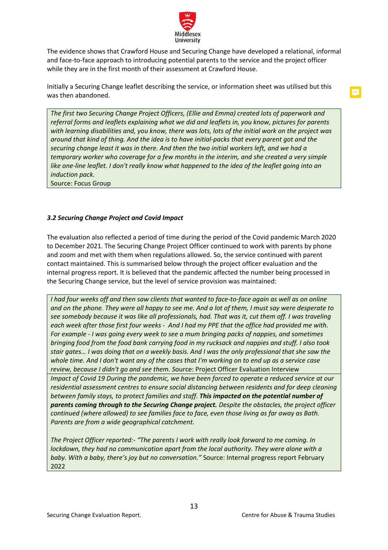

The evidence shows that Crawford House and Securing Change have developed a relational, informal and face-to-face approach to introducing potential parents to the service and the project officer while they are in the first month of their assessment at Crawford House.

Initially a Securing Change leaflet describing the service, or information sheet was utilised but this was then abandoned.

*The first two Securing Change Project Officers, (Ellie and Emma) created lots of paperwork and referral forms and leaflets explaining what we did and leaflets in, you know, pictures for parents with learning disabilities and, you know, there was lots, lots of the initial work on the project was around that kind of thing. And the idea is to have initial-packs that every parent got and the securing change least it was in there. And then the two initial workers left, and we had a temporary worker who coverage for a few months in the interim, and she created a very simple like one-line leaflet. I don't really know what happened to the idea of the leaflet going into an induction pack*.

Source: Focus Group

## <span id="page-12-0"></span>*3.2 Securing Change Project and Covid Impact*

The evaluation also reflected a period of time during the period of the Covid pandemic March 2020 to December 2021. The Securing Change Project Officer continued to work with parents by phone and zoom and met with them when regulations allowed. So, the service continued with parent contact maintained. This is summarised below through the project officer evaluation and the internal progress report. It is believed that the pandemic affected the number being processed in the Securing Change service, but the level of service provision was maintained:

*I had four weeks off and then saw clients that wanted to face-to-face again as well as on online and on the phone. They were all happy to see me. And a lot of them, I must say were desperate to see somebody because it was like all professionals, had. That was it, cut them off. I was traveling each week after those first four weeks - And I had my PPE that the office had provided me with. For example - I was going every week to see a mum bringing packs of nappies, and sometimes bringing food from the food bank carrying food in my rucksack and nappies and stuff. I also took stair gates… I was doing that on a weekly basis. And I was the only professional that she saw the whole time. And I don't want any of the cases that I'm working on to end up as a service case review, because I didn't go and see them. S*ource: Project Officer Evaluation Interview *Impact of Covid 19 During the pandemic, we have been forced to operate a reduced service at our residential assessment centres to ensure social distancing between residents and for deep cleaning between family stays, to protect families and staff. This impacted on the potential number of parents coming through to the Securing Change project. Despite the obstacles, the project officer continued (where allowed) to see families face to face, even those living as far away as Bath. Parents are from a wide geographical catchment.* 

*The Project Officer reported:- "The parents I work with really look forward to me coming. In lockdown, they had no communication apart from the local authority. They were alone with a baby. With a baby, there's joy but no conversation."* Source: Internal progress report February 2022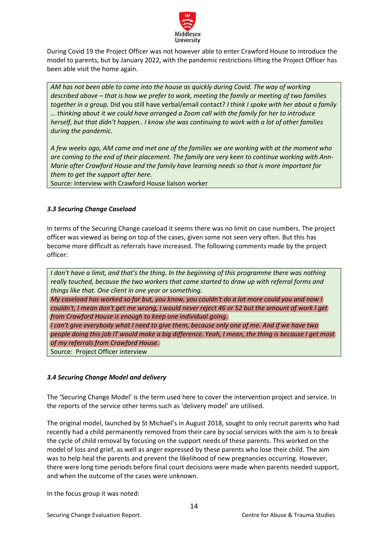

During Covid 19 the Project Officer was not however able to enter Crawford House to introduce the model to parents, but by January 2022, with the pandemic restrictions lifting the Project Officer has been able visit the home again.

*AM has not been able to come into the house as quickly during Covid. The way of working described above – that is how we prefer to work, meeting the family or meeting of two families together in a group.* Did you still have verbal/email contact? *I think I spoke with her about a family … thinking about it we could have arranged a Zoom call with the family for her to introduce herself, but that didn't happen.. I know she was continuing to work with a lot of other families during the pandemic.*

*A few weeks ago, AM came and met one of the families we are working with at the moment who are coming to the end of their placement. The family are very keen to continue working with Ann-Marie after Crawford House and the family have learning needs so that is more important for them to get the support after here.* 

Source: Interview with Crawford House liaison worker

## <span id="page-13-0"></span>*3.3 Securing Change Caseload*

In terms of the Securing Change caseload it seems there was no limit on case numbers. The project officer was viewed as being on top of the cases, given some not seen very often. But this has become more difficult as referrals have increased. The following comments made by the project officer:

*I don't have a limit, and that's the thing. In the beginning of this programme there was nothing really touched, because the two workers that came started to draw up with referral forms and things like that. One client in one year or something. My caseload has worked so far but, you know, you couldn't do a lot more could you and now I couldn't, I mean don't get me wrong, I would never reject 46 or 52 but the amount of work I get from Crawford House is enough to keep one individual going. I can't give everybody what I need to give them, because only one of me. And if we have two people doing this job IT would make a big difference. Yeah, I mean, the thing is because I get most of my referrals from Crawford House.* Source: Project Officer interview

## <span id="page-13-1"></span>*3.4 Securing Change Model and delivery*

The 'Securing Change Model' is the term used here to cover the intervention project and service. In the reports of the service other terms such as 'delivery model' are utilised.

The original model, launched by St Michael's in August 2018, sought to only recruit parents who had recently had a child permanently removed from their care by social services with the aim is to break the cycle of child removal by focusing on the support needs of these parents. This worked on the model of loss and grief, as well as anger expressed by these parents who lose their child. The aim was to help heal the parents and prevent the likelihood of new pregnancies occurring. However, there were long time periods before final court decisions were made when parents needed support, and when the outcome of the cases were unknown.

In the focus group it was noted: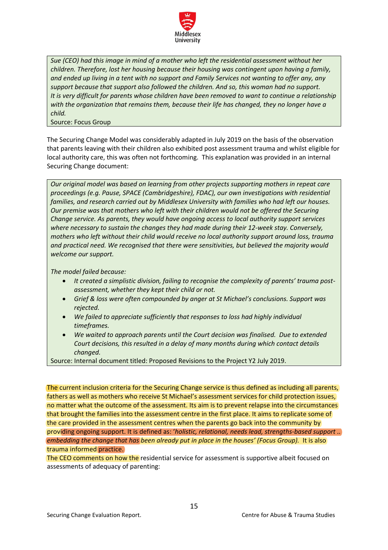

*Sue (CEO) had this image in mind of a mother who left the residential assessment without her children. Therefore, lost her housing because their housing was contingent upon having a family,* and ended up living in a tent with no support and Family Services not wanting to offer any, any *support because that support also followed the children. And so, this woman had no support. It is very difficult for parents whose children have been removed to want to continue a relationship with the organization that remains them, because their life has changed, they no longer have a child.*

Source: Focus Group

The Securing Change Model was considerably adapted in July 2019 on the basis of the observation that parents leaving with their children also exhibited post assessment trauma and whilst eligible for local authority care, this was often not forthcoming. This explanation was provided in an internal Securing Change document:

*Our original model was based on learning from other projects supporting mothers in repeat care proceedings (e.g. Pause, SPACE (Cambridgeshire), FDAC), our own investigations with residential families, and research carried out by Middlesex University with families who had left our houses. Our premise was that mothers who left with their children would not be offered the Securing Change service. As parents, they would have ongoing access to local authority support services where necessary to sustain the changes they had made during their 12-week stay. Conversely, mothers who left without their child would receive no local authority support around loss, trauma and practical need. We recognised that there were sensitivities, but believed the majority would welcome our support.* 

*The model failed because:*

- *It created a simplistic division, failing to recognise the complexity of parents' trauma postassessment, whether they kept their child or not.*
- *Grief & loss were often compounded by anger at St Michael's conclusions. Support was rejected.*
- *We failed to appreciate sufficiently that responses to loss had highly individual timeframes.*
- *We waited to approach parents until the Court decision was finalised. Due to extended Court decisions, this resulted in a delay of many months during which contact details changed.*

Source: Internal document titled: Proposed Revisions to the Project Y2 July 2019.

The current inclusion criteria for the Securing Change service is thus defined as including all parents, fathers as well as mothers who receive St Michael's assessment services for child protection issues, no matter what the outcome of the assessment. Its aim is to prevent relapse into the circumstances that brought the families into the assessment centre in the first place. It aims to replicate some of the care provided in the assessment centres when the parents go back into the community by providing ongoing support. It is defined as: '*holistic, relational, needs lead, strengths-based support .. embedding the change that has been already put in place in the houses' (Focus Group).* It is also trauma informed practice.

The CEO comments on how the residential service for assessment is supportive albeit focused on assessments of adequacy of parenting: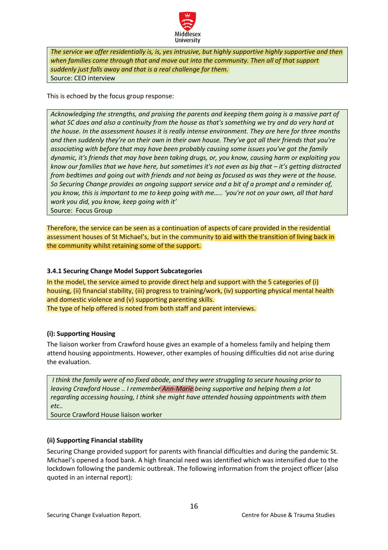

*The service we offer residentially is, is, yes intrusive, but highly supportive highly supportive and then when families come through that and move out into the community. Then all of that support suddenly just falls away and that is a real challenge for them.* Source: CEO interview

This is echoed by the focus group response:

*Acknowledging the strengths, and praising the parents and keeping them going is a massive part of what SC does and also a continuity from the house as that's something we try and do very hard at the house. In the assessment houses it is really intense environment. They are here for three months and then suddenly they're on their own in their own house. They've got all their friends that you're associating with before that may have been probably causing some issues you've got the family dynamic, it's friends that may have been taking drugs, or, you know, causing harm or exploiting you know our families that we have here, but sometimes it's not even as big that – it's getting distracted from bedtimes and going out with friends and not being as focused as was they were at the house. So Securing Change provides an ongoing support service and a bit of a prompt and a reminder of, you know, this is important to me to keep going with me….. 'you're not on your own, all that hard work you did, you know, keep going with it'*  Source: Focus Group

Therefore, the service can be seen as a continuation of aspects of care provided in the residential assessment houses of St Michael's, but in the community to aid with the transition of living back in the community whilst retaining some of the support.

## <span id="page-15-0"></span>**3.4.1 Securing Change Model Support Subcategories**

In the model, the service aimed to provide direct help and support with the 5 categories of (i) housing, (ii) financial stability, (iii) progress to training/work, (iv) supporting physical mental health and domestic violence and (v) supporting parenting skills. The type of help offered is noted from both staff and parent interviews.

## <span id="page-15-1"></span>**(i): Supporting Housing**

The liaison worker from Crawford house gives an example of a homeless family and helping them attend housing appointments. However, other examples of housing difficulties did not arise during the evaluation.

*I think the family were of no fixed abode, and they were struggling to secure housing prior to leaving Crawford House .. I remember Ann-Marie being supportive and helping them a lot regarding accessing housing, I think she might have attended housing appointments with them etc..* 

Source Crawford House liaison worker

## <span id="page-15-2"></span>**(ii) Supporting Financial stability**

Securing Change provided support for parents with financial difficulties and during the pandemic St. Michael's opened a food bank. A high financial need was identified which was intensified due to the lockdown following the pandemic outbreak. The following information from the project officer (also quoted in an internal report):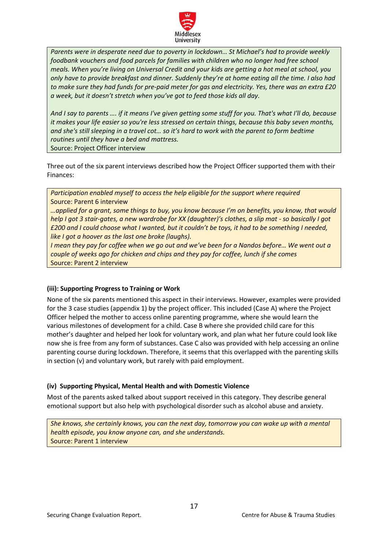

*Parents were in desperate need due to poverty in lockdown… St Michael's had to provide weekly*  foodbank vouchers and food parcels for families with children who no longer had free school *meals. When you're living on Universal Credit and your kids are getting a hot meal at school, you only have to provide breakfast and dinner. Suddenly they're at home eating all the time. I also had to make sure they had funds for pre-paid meter for gas and electricity. Yes, there was an extra £20 a week, but it doesn't stretch when you've got to feed those kids all day.* 

*And I say to parents …. if it means I've given getting some stuff for you. That's what I'll do, because it makes your life easier so you're less stressed on certain things, because this baby seven months, and she's still sleeping in a travel cot… so it's hard to work with the parent to form bedtime routines until they have a bed and mattress.*  Source: Project Officer interview

Three out of the six parent interviews described how the Project Officer supported them with their Finances:

*Participation enabled myself to access the help eligible for the support where required* Source: Parent 6 interview

*…applied for a grant, some things to buy, you know because I'm on benefits, you know, that would help I got 3 stair-gates, a new wardrobe for XX (daughter)'s clothes, a slip mat - so basically I got £200 and I could choose what I wanted, but it couldn't be toys, it had to be something I needed, like I got a hoover as the last one broke (laughs).*

*I mean they pay for coffee when we go out and we've been for a Nandos before… We went out a couple of weeks ago for chicken and chips and they pay for coffee, lunch if she comes*  Source: Parent 2 interview

## <span id="page-16-0"></span>**(iii): Supporting Progress to Training or Work**

None of the six parents mentioned this aspect in their interviews. However, examples were provided for the 3 case studies (appendix 1) by the project officer. This included (Case A) where the Project Officer helped the mother to access online parenting programme, where she would learn the various milestones of development for a child. Case B where she provided child care for this mother's daughter and helped her look for voluntary work, and plan what her future could look like now she is free from any form of substances. Case C also was provided with help accessing an online parenting course during lockdown. Therefore, it seems that this overlapped with the parenting skills in section (v) and voluntary work, but rarely with paid employment.

## <span id="page-16-1"></span>**(iv) Supporting Physical, Mental Health and with Domestic Violence**

Most of the parents asked talked about support received in this category. They describe general emotional support but also help with psychological disorder such as alcohol abuse and anxiety.

*She knows, she certainly knows, you can the next day, tomorrow you can wake up with a mental health episode, you know anyone can, and she understands.* Source: Parent 1 interview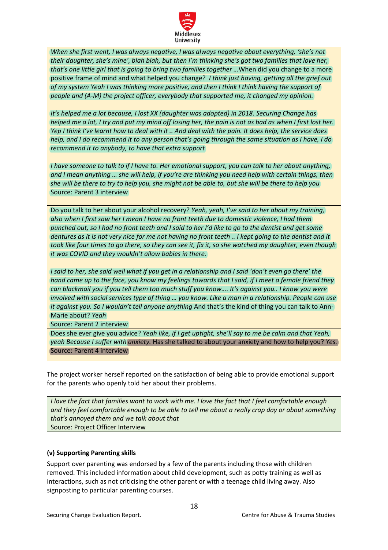

*When she first went, I was always negative, I was always negative about everything, 'she's not their daughter, she's mine', blah blah, but then I'm thinking she's got two families that love her, that's one little girl that is going to bring two families together …*When did you change to a more positive frame of mind and what helped you change? *I think just having, getting all the grief out of my system Yeah I was thinking more positive, and then I think I think having the support of people and (A-M) the project officer, everybody that supported me, it changed my opinion.* 

*It's helped me a lot because, I lost XX (daughter was adopted) in 2018. Securing Change has helped me a lot, I try and put my mind off losing her, the pain is not as bad as when I first lost her. Yep I think I've learnt how to deal with it .. And deal with the pain. It does help, the service does help, and I do recommend it to any person that's going through the same situation as I have, I do recommend it to anybody, to have that extra support* 

*I have someone to talk to if I have to. Her emotional support, you can talk to her about anything, and I mean anything … she will help, if you're are thinking you need help with certain things, then she will be there to try to help you, she might not be able to, but she will be there to help you*  Source: Parent 3 interview

Do you talk to her about your alcohol recovery? *Yeah, yeah, I've said to her about my training, also when I first saw her I mean I have no front teeth due to domestic violence, I had them punched out, so I had no front teeth and I said to her I'd like to go to the dentist and get some dentures as it is not very nice for me not having no front teeth .. I kept going to the dentist and it took like four times to go there, so they can see it, fix it, so she watched my daughter, even though it was COVID and they wouldn't allow babies in there.*

*I said to her, she said well what if you get in a relationship and I said 'don't even go there' the hand came up to the face, you know my feelings towards that I said, if I meet a female friend they can blackmail you if you tell them too much stuff you know…. It's against you.. I know you were involved with social services type of thing … you know. Like a man in a relationship. People can use it against you. So I wouldn't tell anyone anything* And that's the kind of thing you can talk to Ann-Marie about? *Yeah* 

Source: Parent 2 interview

Does she ever give you advice? *Yeah like, if I get uptight, she'll say to me be calm and that Yeah, yeah Because I suffer with anxiety.* Has she talked to about your anxiety and how to help you? *Yes.*  Source: Parent 4 interview

The project worker herself reported on the satisfaction of being able to provide emotional support for the parents who openly told her about their problems.

*I love the fact that families want to work with me. I love the fact that I feel comfortable enough and they feel comfortable enough to be able to tell me about a really crap day or about something that's annoyed them and we talk about that*  Source: Project Officer Interview

# <span id="page-17-0"></span>**(v) Supporting Parenting skills**

Support over parenting was endorsed by a few of the parents including those with children removed. This included information about child development, such as potty training as well as interactions, such as not criticising the other parent or with a teenage child living away. Also signposting to particular parenting courses.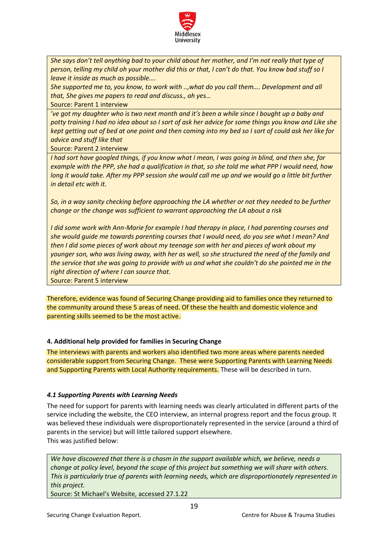

*She says don't tell anything bad to your child about her mother, and I'm not really that type of person, telling my child oh your mother did this or that, I can't do that. You know bad stuff so I leave it inside as much as possible….*

*She supported me to, you know, to work with ..,what do you call them…. Development and all that, She gives me papers to read and discuss., ah yes…* 

Source: Parent 1 interview

*'ve got my daughter who is two next month and it's been a while since I bought up a baby and potty training I had no idea about so I sort of ask her advice for some things you know and Like she kept getting out of bed at one point and then coming into my bed so I sort of could ask her like for advice and stuff like that* 

Source: Parent 2 interview

*I had sort have googled things, if you know what I mean, I was going in blind, and then she, for example with the PPP, she had a qualification in that, so she told me what PPP I would need, how long it would take. After my PPP session she would call me up and we would go a little bit further in detail etc with it.*

*So, in a way sanity checking before approaching the LA whether or not they needed to be further change or the change was sufficient to warrant approaching the LA about a risk*

*I did some work with Ann-Marie for example I had therapy in place, I had parenting courses and she would guide me towards parenting courses that I would need, do you see what I mean? And then I did some pieces of work about my teenage son with her and pieces of work about my younger son, who was living away, with her as well, so she structured the need of the family and the service that she was going to provide with us and what she couldn't do she pointed me in the right direction of where I can source that.*

Source: Parent 5 interview

Therefore, evidence was found of Securing Change providing aid to families once they returned to the community around these 5 areas of need. Of these the health and domestic violence and parenting skills seemed to be the most active.

# <span id="page-18-0"></span>**4. Additional help provided for families in Securing Change**

The interviews with parents and workers also identified two more areas where parents needed considerable support from Securing Change. These were Supporting Parents with Learning Needs and Supporting Parents with Local Authority requirements. These will be described in turn.

# <span id="page-18-1"></span>*4.1 Supporting Parents with Learning Needs*

The need for support for parents with learning needs was clearly articulated in different parts of the service including the website, the CEO interview, an internal progress report and the focus group. It was believed these individuals were disproportionately represented in the service (around a third of parents in the service) but will little tailored support elsewhere. This was justified below:

*We have discovered that there is a chasm in the support available which, we believe, needs a change at policy level, beyond the scope of this project but something we will share with others. This is particularly true of parents with learning needs, which are disproportionately represented in this project.*

Source: St Michael's Website, accessed 27.1.22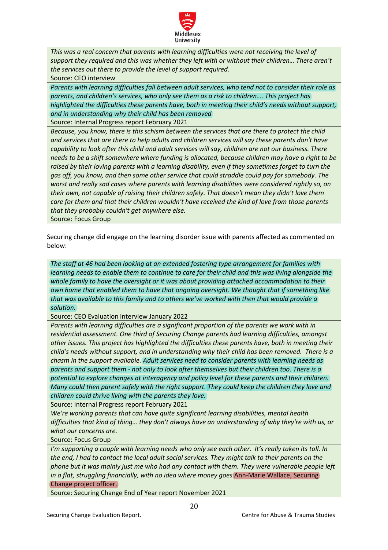

*This was a real concern that parents with learning difficulties were not receiving the level of support they required and this was whether they left with or without their children… There aren't the services out there to provide the level of support required.* Source: CEO interview

*Parents with learning difficulties fall between adult services, who tend not to consider their role as parents, and children's services, who only see them as a risk to children…. This project has highlighted the difficulties these parents have, both in meeting their child's needs without support, and in understanding why their child has been removed*

Source: Internal Progress report February 2021

*Because, you know, there is this schism between the services that are there to protect the child and services that are there to help adults and children services will say these parents don't have capability to look after this child and adult services will say, children are not our business. There needs to be a shift somewhere where funding is allocated, because children may have a right to be raised by their loving parents with a learning disability, even if they sometimes forget to turn the gas off, you know, and then some other service that could straddle could pay for somebody. The worst and really sad cases where parents with learning disabilities were considered rightly so, on their own, not capable of raising their children safely. That doesn't mean they didn't love them care for them and that their children wouldn't have received the kind of love from those parents that they probably couldn't get anywhere else.*  Source: Focus Group

Securing change did engage on the learning disorder issue with parents affected as commented on below:

*The staff at 46 had been looking at an extended fostering type arrangement for families with* learning needs to enable them to continue to care for their child and this was living alongside the *whole family to have the oversight or it was about providing attached accommodation to their own home that enabled them to have that ongoing oversight. We thought that if something like that was available to this family and to others we've worked with then that would provide a solution.*

Source: CEO Evaluation interview January 2022

*Parents with learning difficulties are a significant proportion of the parents we work with in residential assessment. One third of Securing Change parents had learning difficulties, amongst other issues. This project has highlighted the difficulties these parents have, both in meeting their child's needs without support, and in understanding why their child has been removed. There is a chasm in the support available. Adult services need to consider parents with learning needs as parents and support them - not only to look after themselves but their children too. There is a potential to explore changes at interagency and policy level for these parents and their children. Many could then parent safely with the right support. They could keep the children they love and children could thrive living with the parents they love.*

Source: Internal Progress report February 2021

*We're working parents that can have quite significant learning disabilities, mental health difficulties that kind of thing… they don't always have an understanding of why they're with us, or what our concerns are.* 

Source: Focus Group

*I'm supporting a couple with learning needs who only see each other. It's really taken its toll. In the end, I had to contact the local adult social services. They might talk to their parents on the phone but it was mainly just me who had any contact with them. They were vulnerable people left in a flat, struggling financially, with no idea where money goes* Ann-Marie Wallace, Securing Change project officer.

Source: Securing Change End of Year report November 2021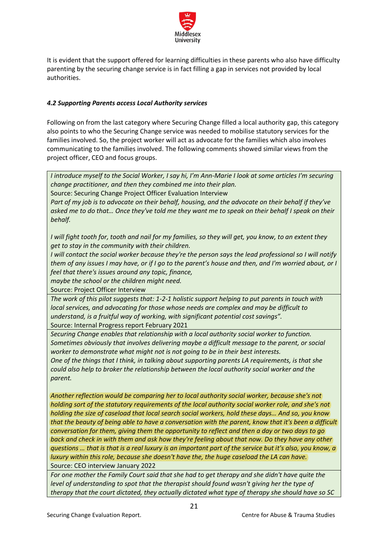

It is evident that the support offered for learning difficulties in these parents who also have difficulty parenting by the securing change service is in fact filling a gap in services not provided by local authorities.

## <span id="page-20-0"></span>*4.2 Supporting Parents access Local Authority services*

Following on from the last category where Securing Change filled a local authority gap, this category also points to who the Securing Change service was needed to mobilise statutory services for the families involved. So, the project worker will act as advocate for the families which also involves communicating to the families involved. The following comments showed similar views from the project officer, CEO and focus groups.

*I introduce myself to the Social Worker, I say hi, I'm Ann-Marie I look at some articles I'm securing change practitioner, and then they combined me into their plan.*

Source: Securing Change Project Officer Evaluation Interview

*Part of my job is to advocate on their behalf, housing, and the advocate on their behalf if they've asked me to do that… Once they've told me they want me to speak on their behalf I speak on their behalf.*

*I will fight tooth for, tooth and nail for my families, so they will get, you know, to an extent they get to stay in the community with their children.*

*I* will contact the social worker because they're the person says the lead professional so I will notify *them of any issues I may have, or if I go to the parent's house and then, and I'm worried about, or I feel that there's issues around any topic, finance,*

*maybe the school or the children might need.* 

Source: Project Officer Interview

*The work of this pilot suggests that: 1-2-1 holistic support helping to put parents in touch with local services, and advocating for those whose needs are complex and may be difficult to understand, is a fruitful way of working, with significant potential cost savings".*

Source: Internal Progress report February 2021

*Securing Change enables that relationship with a local authority social worker to function. Sometimes obviously that involves delivering maybe a difficult message to the parent, or social worker to demonstrate what might not is not going to be in their best interests.* 

*One of the things that I think, in talking about supporting parents LA requirements, is that she could also help to broker the relationship between the local authority social worker and the parent.* 

*Another reflection would be comparing her to local authority social worker, because she's not holding sort of the statutory requirements of the local authority social worker role, and she's not holding the size of caseload that local search social workers, hold these days… And so, you know that the beauty of being able to have a conversation with the parent, know that it's been a difficult conversation for them, giving them the opportunity to reflect and then a day or two days to go back and check in with them and ask how they're feeling about that now. Do they have any other questions … that is that is a real luxury is an important part of the service but it's also, you know, a luxury within this role, because she doesn't have the, the huge caseload the LA can have.*  Source: CEO interview January 2022

*For one mother the Family Court said that she had to get therapy and she didn't have quite the level of understanding to spot that the therapist should found wasn't giving her the type of therapy that the court dictated, they actually dictated what type of therapy she should have so SC*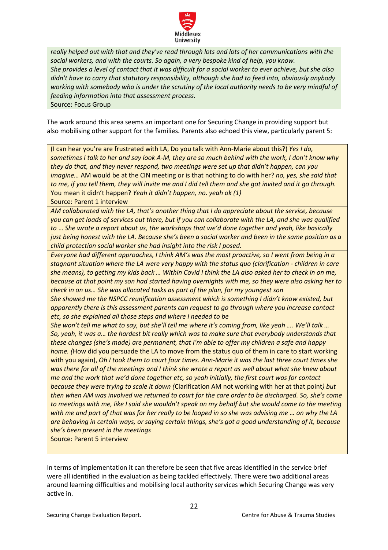

*really helped out with that and they've read through lots and lots of her communications with the social workers, and with the courts. So again, a very bespoke kind of help, you know. She provides a level of contact that it was difficult for a social worker to ever achieve, but she also didn't have to carry that statutory responsibility, although she had to feed into, obviously anybody working with somebody who is under the scrutiny of the local authority needs to be very mindful of feeding information into that assessment process.* Source: Focus Group

The work around this area seems an important one for Securing Change in providing support but also mobilising other support for the families. Parents also echoed this view, particularly parent 5:

(I can hear you're are frustrated with LA, Do you talk with Ann-Marie about this?) *Yes I do, sometimes I talk to her and say look A-M, they are so much behind with the work, I don't know why they do that, and they never respond, two meetings were set up that didn't happen, can you imagine…* AM would be at the CIN meeting or is that nothing to do with her? *no, yes, she said that to me, if you tell them, they will invite me and I did tell them and she got invited and it go through.*  You mean it didn't happen? *Yeah it didn't happen, no. yeah ok (1)* Source: Parent 1 interview

*AM collaborated with the LA, that's another thing that I do appreciate about the service, because you can get loads of services out there, but if you can collaborate with the LA, and she was qualified to* … *She wrote a report about us, the workshops that we'd done together and yeah, like basically just being honest with the LA. Because she's been a social worker and been in the same position as a child protection social worker she had insight into the risk I posed.*

*Everyone had different approaches, I think AM's was the most proactive, so I went from being in a stagnant situation where the LA were very happy with the status quo (clarification - children in care she means), to getting my kids back … Within Covid I think the LA also asked her to check in on me, because at that point my son had started having overnights with me, so they were also asking her to check in on us… She was allocated tasks as part of the plan, for my youngest son*

*She showed me the NSPCC reunification assessment which is something I didn't know existed, but apparently there is this assessment parents can request to go through where you increase contact etc, so she explained all those steps and where I needed to be* 

*She won't tell me what to say, but she'll tell me where it's coming from, like yeah …. We'll talk … So, yeah, it was a… the hardest bit really which was to make sure that everybody understands that these changes (she's made) are permanent, that I'm able to offer my children a safe and happy home. (*How did you persuade the LA to move from the status quo of them in care to start working with you again), *Oh I took them to court four times. Ann-Marie it was the last three court times she was there for all of the meetings and I think she wrote a report as well about what she knew about me and the work that we'd done together etc, so yeah initially, the first court was for contact because they were trying to scale it down (*Clarification AM not working with her at that point*) but then when AM was involved we returned to court for the care order to be discharged. So, she's come to meetings with me, like I said she wouldn't speak on my behalf but she would come to the meeting with me and part of that was for her really to be looped in so she was advising me … on why the LA are behaving in certain ways, or saying certain things, she's got a good understanding of it, because she's been present in the meetings* 

Source: Parent 5 interview

In terms of implementation it can therefore be seen that five areas identified in the service brief were all identified in the evaluation as being tackled effectively. There were two additional areas around learning difficulties and mobilising local authority services which Securing Change was very active in.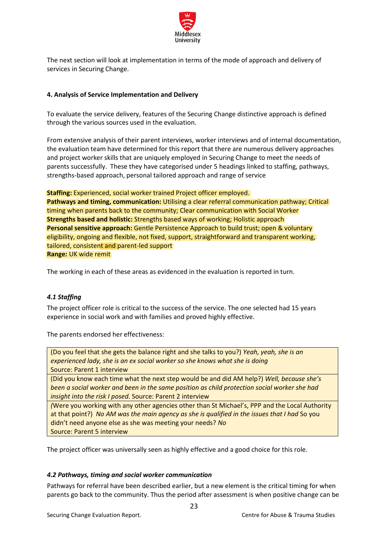

The next section will look at implementation in terms of the mode of approach and delivery of services in Securing Change.

## <span id="page-22-0"></span>**4. Analysis of Service Implementation and Delivery**

To evaluate the service delivery, features of the Securing Change distinctive approach is defined through the various sources used in the evaluation.

From extensive analysis of their parent interviews, worker interviews and of internal documentation, the evaluation team have determined for this report that there are numerous delivery approaches and project worker skills that are uniquely employed in Securing Change to meet the needs of parents successfully. These they have categorised under 5 headings linked to staffing, pathways, strengths-based approach, personal tailored approach and range of service

**Staffing:** Experienced, social worker trained Project officer employed.

**Pathways and timing, communication:** Utilising a clear referral communication pathway; Critical timing when parents back to the community; Clear communication with Social Worker **Strengths based and holistic:** Strengths based ways of working; Holistic approach **Personal sensitive approach:** Gentle Persistence Approach to build trust; open & voluntary eligibility, ongoing and flexible, not fixed, support, straightforward and transparent working, tailored, consistent and parent-led support **Range:** UK wide remit

The working in each of these areas as evidenced in the evaluation is reported in turn.

# <span id="page-22-1"></span>*4.1 Staffing*

The project officer role is critical to the success of the service. The one selected had 15 years experience in social work and with families and proved highly effective.

The parents endorsed her effectiveness:

(Do you feel that she gets the balance right and she talks to you?) *Yeah, yeah, she is an experienced lady, she is an ex social worker so she knows what she is doing*  Source: Parent 1 interview

(Did you know each time what the next step would be and did AM help?) *Well, because she's been a social worker and been in the same position as child protection social worker she had insight into the risk I posed.* Source: Parent 2 interview

*(*Were you working with any other agencies other than St Michael's, PPP and the Local Authority at that point?) *No AM was the main agency as she is qualified in the issues that I had* So you didn't need anyone else as she was meeting your needs? *No*  Source: Parent 5 interview

The project officer was universally seen as highly effective and a good choice for this role.

## <span id="page-22-2"></span>*4.2 Pathways, timing and social worker communication*

Pathways for referral have been described earlier, but a new element is the critical timing for when parents go back to the community. Thus the period after assessment is when positive change can be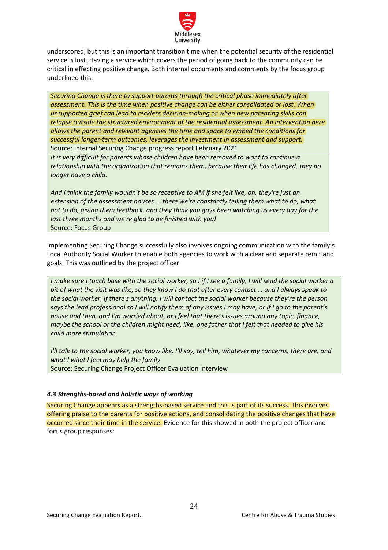

underscored, but this is an important transition time when the potential security of the residential service is lost. Having a service which covers the period of going back to the community can be critical in effecting positive change. Both internal documents and comments by the focus group underlined this:

*Securing Change is there to support parents through the critical phase immediately after assessment. This is the time when positive change can be either consolidated or lost. When unsupported grief can lead to reckless decision-making or when new parenting skills can relapse outside the structured environment of the residential assessment. An intervention here allows the parent and relevant agencies the time and space to embed the conditions for successful longer-term outcomes, leverages the investment in assessment and support.* Source: Internal Securing Change progress report February 2021

*It is very difficult for parents whose children have been removed to want to continue a relationship with the organization that remains them, because their life has changed, they no longer have a child.*

*And I think the family wouldn't be so receptive to AM if she felt like, oh, they're just an extension of the assessment houses .. there we're constantly telling them what to do, what not to do, giving them feedback, and they think you guys been watching us every day for the last three months and we're glad to be finished with you!* Source: Focus Group

Implementing Securing Change successfully also involves ongoing communication with the family's Local Authority Social Worker to enable both agencies to work with a clear and separate remit and goals. This was outlined by the project officer

*I make sure I touch base with the social worker, so I if I see a family, I will send the social worker a bit of what the visit was like, so they know I do that after every contact … and I always speak to the social worker, if there's anything. I will contact the social worker because they're the person says the lead professional so I will notify them of any issues I may have, or if I go to the parent's house and then, and I'm worried about, or I feel that there's issues around any topic, finance, maybe the school or the children might need, like, one father that I felt that needed to give his child more stimulation*

*I'll talk to the social worker, you know like, I'll say, tell him, whatever my concerns, there are, and what I what I feel may help the family* Source: Securing Change Project Officer Evaluation Interview

## <span id="page-23-0"></span>*4.3 Strengths-based and holistic ways of working*

Securing Change appears as a strengths-based service and this is part of its success. This involves offering praise to the parents for positive actions, and consolidating the positive changes that have occurred since their time in the service. Evidence for this showed in both the project officer and focus group responses: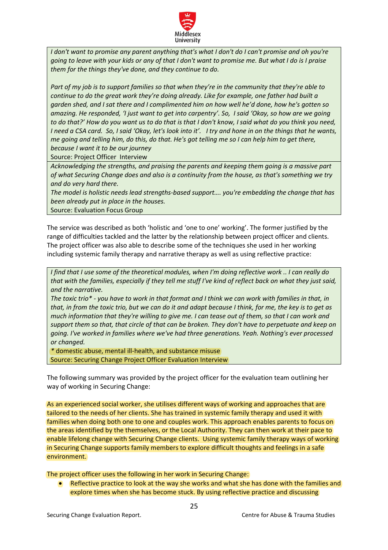

*I don't want to promise any parent anything that's what I don't do I can't promise and oh you're going to leave with your kids or any of that I don't want to promise me. But what I do is I praise them for the things they've done, and they continue to do.*

*Part of my job is to support families so that when they're in the community that they're able to continue to do the great work they're doing already. Like for example, one father had built a garden shed, and I sat there and I complimented him on how well he'd done, how he's gotten so amazing. He responded, 'I just want to get into carpentry'. So, I said 'Okay, so how are we going to do that?' How do you want us to do that is that I don't know, I said what do you think you need, I need a CSA card. So, I said 'Okay, let's look into it'. I try and hone in on the things that he wants, me going and telling him, do this, do that. He's got telling me so I can help him to get there, because I want it to be our journey* 

Source: Project Officer Interview

*Acknowledging the strengths, and praising the parents and keeping them going is a massive part of what Securing Change does and also is a continuity from the house, as that's something we try and do very hard there.*

*The model is holistic needs lead strengths-based support…. you're embedding the change that has been already put in place in the houses.* 

Source: Evaluation Focus Group

The service was described as both 'holistic and 'one to one' working'. The former justified by the range of difficulties tackled and the latter by the relationship between project officer and clients. The project officer was also able to describe some of the techniques she used in her working including systemic family therapy and narrative therapy as well as using reflective practice:

*I find that I use some of the theoretical modules, when I'm doing reflective work .. I can really do that with the families, especially if they tell me stuff I've kind of reflect back on what they just said, and the narrative.*

*The toxic trio\* - you have to work in that format and I think we can work with families in that, in that, in from the toxic trio, but we can do it and adapt because I think, for me, the key is to get as much information that they're willing to give me. I can tease out of them, so that I can work and support them so that, that circle of that can be broken. They don't have to perpetuate and keep on going. I've worked in families where we've had three generations. Yeah. Nothing's ever processed or changed.* 

*\** domestic abuse, mental ill-health, and substance misuse Source: Securing Change Project Officer Evaluation Interview

The following summary was provided by the project officer for the evaluation team outlining her way of working in Securing Change:

As an experienced social worker, she utilises different ways of working and approaches that are tailored to the needs of her clients. She has trained in systemic family therapy and used it with families when doing both one to one and couples work. This approach enables parents to focus on the areas identified by the themselves, or the Local Authority. They can then work at their pace to enable lifelong change with Securing Change clients. Using systemic family therapy ways of working in Securing Change supports family members to explore difficult thoughts and feelings in a safe environment.

The project officer uses the following in her work in Securing Change:

• Reflective practice to look at the way she works and what she has done with the families and explore times when she has become stuck. By using reflective practice and discussing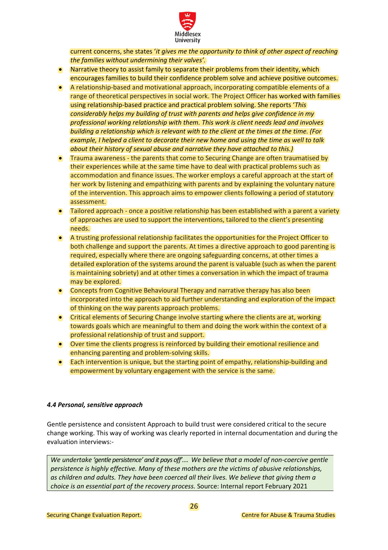

current concerns, she states '*it gives me the opportunity to think of other aspect of reaching the families without undermining their valves'.* 

- Narrative theory to assist family to separate their problems from their identity, which encourages families to build their confidence problem solve and achieve positive outcomes.
- A relationship-based and motivational approach, incorporating compatible elements of a range of theoretical perspectives in social work. The Project Officer has worked with families using relationship-based practice and practical problem solving. She reports '*This considerably helps my building of trust with parents and helps give confidence in my professional working relationship with them. This work is client needs lead and involves building a relationship which is relevant with to the client at the times at the time. (For example, I helped a client to decorate their new home and using the time as well to talk about their history of sexual abuse and narrative they have attached to this.)*
- Trauma awareness the parents that come to Securing Change are often traumatised by their experiences while at the same time have to deal with practical problems such as accommodation and finance issues. The worker employs a careful approach at the start of her work by listening and empathizing with parents and by explaining the voluntary nature of the intervention. This approach aims to empower clients following a period of statutory assessment.
- Tailored approach once a positive relationship has been established with a parent a variety of approaches are used to support the interventions, tailored to the client's presenting needs.
- A trusting professional relationship facilitates the opportunities for the Project Officer to both challenge and support the parents. At times a directive approach to good parenting is required, especially where there are ongoing safeguarding concerns, at other times a detailed exploration of the systems around the parent is valuable (such as when the parent is maintaining sobriety) and at other times a conversation in which the impact of trauma may be explored.
- Concepts from Cognitive Behavioural Therapy and narrative therapy has also been incorporated into the approach to aid further understanding and exploration of the impact of thinking on the way parents approach problems.
- Critical elements of Securing Change involve starting where the clients are at, working towards goals which are meaningful to them and doing the work within the context of a professional relationship of trust and support.
- Over time the clients progress is reinforced by building their emotional resilience and enhancing parenting and problem-solving skills.
- Each intervention is unique, but the starting point of empathy, relationship-building and empowerment by voluntary engagement with the service is the same.

## <span id="page-25-0"></span>*4.4 Personal, sensitive approach*

Gentle persistence and consistent Approach to build trust were considered critical to the secure change working. This way of working was clearly reported in internal documentation and during the evaluation interviews:-

*We undertake 'gentle persistence' and it pays off'…. We believe that a model of non-coercive gentle persistence is highly effective. Many of these mothers are the victims of abusive relationships, as children and adults. They have been coerced all their lives. We believe that giving them a choice is an essential part of the recovery process.* Source: Internal report February 2021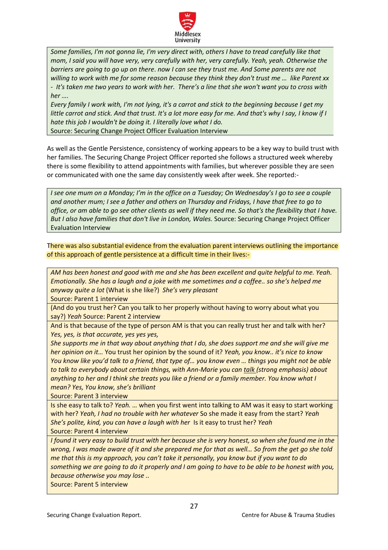

*Some families, I'm not gonna lie, I'm very direct with, others I have to tread carefully like that mom, I said you will have very, very carefully with her, very carefully. Yeah, yeah. Otherwise the barriers are going to go up on there*. *now I can see they trust me. And Some parents are not willing to work with me for some reason because they think they don't trust me … like Parent xx - It's taken me two years to work with her. There's a line that she won't want you to cross with her ….* 

*Every family I work with, I'm not lying, it's a carrot and stick to the beginning because I get my little carrot and stick. And that trust. It's a lot more easy for me. And that's why I say, I know if I hate this job I wouldn't be doing it. I literally love what I do.*

Source: Securing Change Project Officer Evaluation Interview

As well as the Gentle Persistence, consistency of working appears to be a key way to build trust with her families. The Securing Change Project Officer reported she follows a structured week whereby there is some flexibility to attend appointments with families, but wherever possible they are seen or communicated with one the same day consistently week after week. She reported:-

*I see one mum on a Monday; I'm in the office on a Tuesday; On Wednesday's I go to see a couple and another mum; I see a father and others on Thursday and Fridays, I have that free to go to office, or am able to go see other clients as well if they need me. So that's the flexibility that I have. But I also have families that don't live in London, Wales.* Source: Securing Change Project Officer Evaluation Interview

There was also substantial evidence from the evaluation parent interviews outlining the importance of this approach of gentle persistence at a difficult time in their lives:-

*AM has been honest and good with me and she has been excellent and quite helpful to me. Yeah. Emotionally. She has a laugh and a joke with me sometimes and a coffee.. so she's helped me anyway quite a lot* (What is she like?) *She's very pleasant*

Source: Parent 1 interview

(And do you trust her? Can you talk to her properly without having to worry about what you say?) *Yeah* Source: Parent 2 interview

And is that because of the type of person AM is that you can really trust her and talk with her? *Yes, yes, is that accurate, yes yes yes,* 

*She supports me in that way about anything that I do, she does support me and she will give me her opinion on it…* You trust her opinion by the sound of it? *Yeah, you know.. it's nice to know You know like you'd talk to a friend, that type of… you know even … things you might not be able to talk to everybody about certain things, with Ann-Marie you can talk (strong emphasis) about anything to her and I think she treats you like a friend or a family member. You know what I mean? Yes, You know, she's brilliant* 

Source: Parent 3 interview

Is she easy to talk to? *Yeah. …* when you first went into talking to AM was it easy to start working with her? *Yeah, I had no trouble with her whatever* So she made it easy from the start? *Yeah She's polite, kind, you can have a laugh with her* Is it easy to trust her? *Yeah*  Source: Parent 4 interview

*I found it very easy to build trust with her because she is very honest, so when she found me in the wrong, I was made aware of it and she prepared me for that as well… So from the get go she told me that this is my approach, you can't take it personally, you know but if you want to do something we are going to do it properly and I am going to have to be able to be honest with you, because otherwise you may lose ..*

Source: Parent 5 interview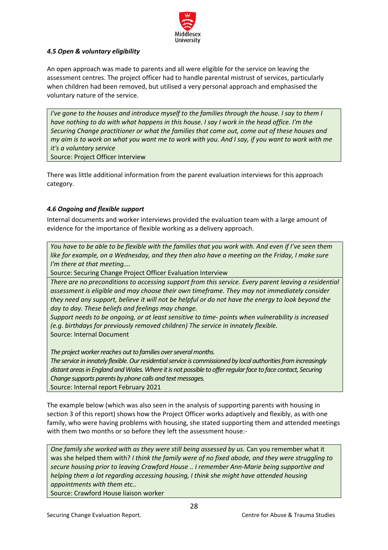

# *4.5 Open & voluntary eligibility*

An open approach was made to parents and all were eligible for the service on leaving the assessment centres. The project officer had to handle parental mistrust of services, particularly when children had been removed, but utilised a very personal approach and emphasised the voluntary nature of the service.

*I've gone to the houses and introduce myself to the families through the house. I say to them I have nothing to do with what happens in this house. I say I work in the head office. I'm the Securing Change practitioner or what the families that come out, come out of these houses and my aim is to work on what you want me to work with you. And I say, if you want to work with me it's a voluntary service* Source: Project Officer Interview

There was little additional information from the parent evaluation interviews for this approach category.

## <span id="page-27-0"></span>*4.6 Ongoing and flexible support*

Internal documents and worker interviews provided the evaluation team with a large amount of evidence for the importance of flexible working as a delivery approach.

*You have to be able to be flexible with the families that you work with. And even if I've seen them*  like for example, on a Wednesday, and they then also have a meeting on the Friday, I make sure *I'm there at that meeting….* 

Source: Securing Change Project Officer Evaluation Interview

*There are no preconditions to accessing support from this service. Every parent leaving a residential assessment is eligible and may choose their own timeframe. They may not immediately consider* they need any support, believe it will not be helpful or do not have the energy to look beyond the *day to day. These beliefs and feelings may change.*

*Support needs to be ongoing, or at least sensitive to time- points when vulnerability is increased (e.g. birthdays for previously removed children) The service in innately flexible.* Source: Internal Document

*The project worker reaches out to families over several months.*

*The service in innately flexible. Our residential service is commissioned by local authorities from increasingly distant areas in England and Wales. Where it is not possible to offer regular face to face contact, Securing Change supports parents by phone calls and text messages.* Source: Internal report February 2021

The example below (which was also seen in the analysis of supporting parents with housing in section 3 of this report) shows how the Project Officer works adaptively and flexibly, as with one family, who were having problems with housing, she stated supporting them and attended meetings with them two months or so before they left the assessment house:-

*One family she worked with as they were still being assessed by us. Can you remember what it* was she helped them with? *I think the family were of no fixed abode, and they were struggling to secure housing prior to leaving Crawford House .. I remember Ann-Marie being supportive and helping them a lot regarding accessing housing, I think she might have attended housing appointments with them etc..* 

Source: Crawford House liaison worker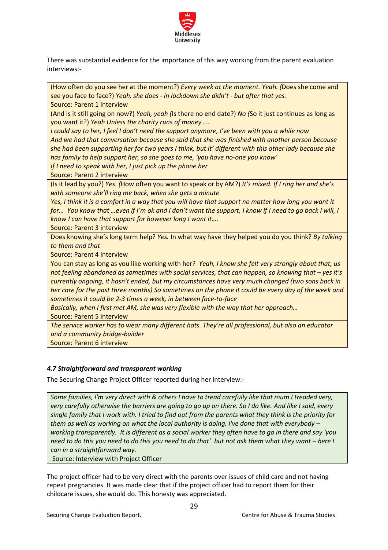

There was substantial evidence for the importance of this way working from the parent evaluation interviews:-

(How often do you see her at the moment?) *Every week at the moment. Yeah. (*Does she come and see you face to face?) *Yeah, she does - in lockdown she didn't - but after that yes.* Source: Parent 1 interview

(And is it still going on now?) *Yeah, yeah (*Is there no end date?) *No (*So it just continues as long as you want it?) *Yeah Unless the charity runs of money ….*

*I could say to her, I feel I don't need the support anymore, I've been with you a while now And we had that conversation because she said that she was finished with another person because she had been supporting her for two years I think, but it' different with this other lady because she has family to help support her, so she goes to me, 'you have no-one you know'*

*If I need to speak with her, I just pick up the phone her* 

Source: Parent 2 interview

(Is it lead by you?) *Yes. (*How often you want to speak or by AM?) *It's mixed. If I ring her and she's with someone she'll ring me back, when she gets a minute*

*Yes, I think it is a comfort in a way that you will have that support no matter how long you want it for… You know that …even if I'm ok and I don't want the support, I know if I need to go back I will, I know I can have that support for however long I want it….* 

Source: Parent 3 interview

Does knowing she's long term help? *Yes.* In what way have they helped you do you think? *By talking to them and that*

Source: Parent 4 interview

You can stay as long as you like working with her? *Yeah, I know she felt very strongly about that, us not feeling abandoned as sometimes with social services, that can happen, so knowing that – yes it's currently ongoing, it hasn't ended, but my circumstances have very much changed (two sons back in her care for the past three months) So sometimes on the phone it could be every day of the week and sometimes it could be 2-3 times a week, in between face-to-face* 

*Basically, when I first met AM, she was very flexible with the way that her approach…* 

Source: Parent 5 interview

*The service worker has to wear many different hats. They're all professional, but also an educator and a community bridge-builder*  Source: Parent 6 interview

# <span id="page-28-0"></span>*4.7 Straightforward and transparent working*

The Securing Change Project Officer reported during her interview:-

*Some families, I'm very direct with & others I have to tread carefully like that mum I treaded very, very carefully otherwise the barriers are going to go up on there. So I do like. And like I said, every single family that I work with. I tried to find out from the parents what they think is the priority for them as well as working on what the local authority is doing. I've done that with everybody – working transparently. It is different as a social worker they often have to go in there and say 'you need to do this you need to do this you need to do that' but not ask them what they want – here I can in a straightforward way.*

Source: Interview with Project Officer

The project officer had to be very direct with the parents over issues of child care and not having repeat pregnancies. It was made clear that if the project officer had to report them for their childcare issues, she would do. This honesty was appreciated.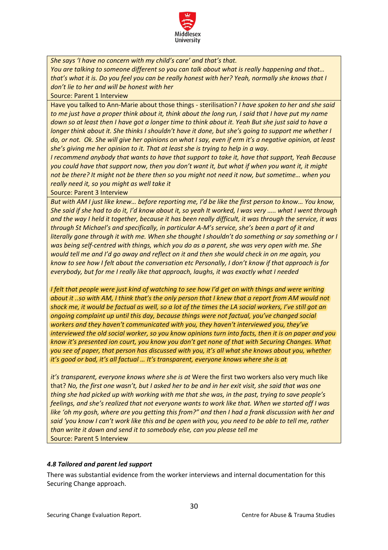

*She says 'I have no concern with my child's care' and that's that.*

*You are talking to someone different so you can talk about what is really happening and that… that's what it is. Do you feel you can be really honest with her? Yeah, normally she knows that I don't lie to her and will be honest with her*

Source: Parent 1 Interview

Have you talked to Ann-Marie about those things - sterilisation? *I have spoken to her and she said to me just have a proper think about it, think about the long run, I said that I have put my name down so at least then I have got a longer time to think about it. Yeah But she just said to have a longer think about it. She thinks I shouldn't have it done, but she's going to support me whether I do, or not. Ok. She will give her opinions on what I say, even if erm it's a negative opinion, at least she's giving me her opinion to it. That at least she is trying to help in a way.*

*I recommend anybody that wants to have that support to take it, have that support, Yeah Because you could have that support now, then you don't want it, but what if when you want it, it might not be there? It might not be there then so you might not need it now, but sometime… when you really need it, so you might as well take it* 

Source: Parent 3 Interview

*But with AM I just like knew… before reporting me, I'd be like the first person to know… You know, She said if she had to do it, I'd know about it, so yeah It worked, I was very ….. what I went through and the way I held it together, because it has been really difficult, it was through the service, it was through St Michael's and specifically, in particular A-M's service, she's been a part of it and literally gone through it with me. When she thought I shouldn't do something or say something or I was being self-centred with things, which you do as a parent, she was very open with me. She would tell me and I'd go away and reflect on it and then she would check in on me again, you know to see how I felt about the conversation etc Personally, I don't know if that approach is for everybody, but for me I really like that approach, laughs, it was exactly what I needed* 

*I felt that people were just kind of watching to see how I'd get on with things and were writing about it ..so with AM, I think that's the only person that I knew that a report from AM would not shock me, it would be factual as well, so a lot of the times the LA social workers, I've still got an ongoing complaint up until this day, because things were not factual, you've changed social workers and they haven't communicated with you, they haven't interviewed you, they've interviewed the old social worker, so you know opinions turn into facts, then it is on paper and you know it's presented ion court, you know you don't get none of that with Securing Changes. What you see of paper, that person has discussed with you, it's all what she knows about you, whether it's good or bad, it's all factual … It's transparent, everyone knows where she is at*

*it's transparent, everyone knows where she is at* Were the first two workers also very much like that? *No, the first one wasn't, but I asked her to be and in her exit visit, she said that was one thing she had picked up with working with me that she was, in the past, trying to save people's feelings, and she's realized that not everyone wants to work like that. When we started off I was like 'oh my gosh, where are you getting this from?" and then I had a frank discussion with her and said 'you know I can't work like this and be open with you, you need to be able to tell me, rather than write it down and send it to somebody else, can you please tell me*  Source: Parent 5 Interview

# <span id="page-29-0"></span>*4.8 Tailored and parent led support*

There was substantial evidence from the worker interviews and internal documentation for this Securing Change approach.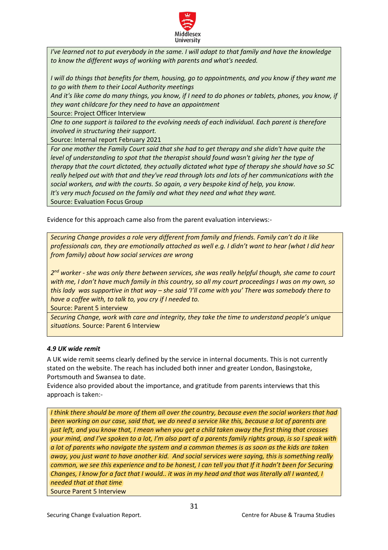

*I've learned not to put everybody in the same. I will adapt to that family and have the knowledge to know the different ways of working with parents and what's needed.*

*I* will do things that benefits for them, housing, go to appointments, and you know if they want me *to go with them to their Local Authority meetings* 

*And it's like come do many things, you know, if I need to do phones or tablets, phones, you know, if they want childcare for they need to have an appointment*

Source: Project Officer Interview

*One to one support is tailored to the evolving needs of each individual. Each parent is therefore involved in structuring their support.*

Source: Internal report February 2021

*For one mother the Family Court said that she had to get therapy and she didn't have quite the level of understanding to spot that the therapist should found wasn't giving her the type of therapy that the court dictated, they actually dictated what type of therapy she should have so SC really helped out with that and they've read through lots and lots of her communications with the social workers, and with the courts. So again, a very bespoke kind of help, you know. It's very much focused on the family and what they need and what they want.* Source: Evaluation Focus Group

Evidence for this approach came also from the parent evaluation interviews:-

*Securing Change provides a role very different from family and friends. Family can't do it like professionals can, they are emotionally attached as well e.g. I didn't want to hear (what I did hear from family) about how social services are wrong*

*2 nd worker - she was only there between services, she was really helpful though, she came to court with me, I don't have much family in this country, so all my court proceedings I was on my own, so this lady was supportive in that way – she said 'I'll come with you' There was somebody there to have a coffee with, to talk to, you cry if I needed to.* 

Source: Parent 5 interview

*Securing Change, work with care and integrity, they take the time to understand people's unique situations.* Source: Parent 6 Interview

## <span id="page-30-0"></span>*4.9 UK wide remit*

A UK wide remit seems clearly defined by the service in internal documents. This is not currently stated on the website. The reach has included both inner and greater London, Basingstoke, Portsmouth and Swansea to date.

Evidence also provided about the importance, and gratitude from parents interviews that this approach is taken:-

*I think there should be more of them all over the country, because even the social workers that had been working on our case, said that, we do need a service like this, because a lot of parents are just left, and you know that, I mean when you get a child taken away the first thing that crosses your mind, and I've spoken to a lot, I'm also part of a parents family rights group, is so I speak with a lot of parents who navigate the system and a common themes is as soon as the kids are taken away, you just want to have another kid. And social services were saying, this is something really common, we see this experience and to be honest, I can tell you that If it hadn't been for Securing Changes, I know for a fact that I would.. it was in my head and that was literally all I wanted, I needed that at that time*  Source Parent 5 Interview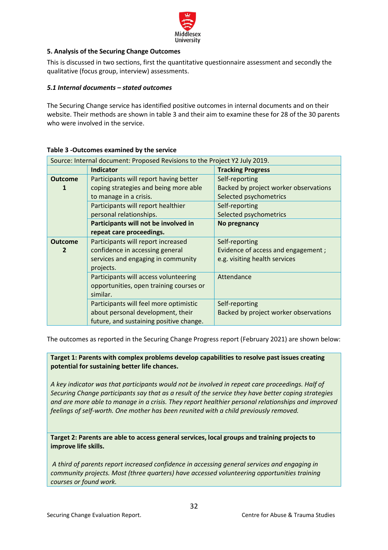

# <span id="page-31-0"></span>**5. Analysis of the Securing Change Outcomes**

This is discussed in two sections, first the quantitative questionnaire assessment and secondly the qualitative (focus group, interview) assessments.

# <span id="page-31-1"></span>*5.1 Internal documents – stated outcomes*

The Securing Change service has identified positive outcomes in internal documents and on their website. Their methods are shown in table 3 and their aim to examine these for 28 of the 30 parents who were involved in the service.

|                | Source: Internal document: Proposed Revisions to the Project Y2 July 2019. |                                       |
|----------------|----------------------------------------------------------------------------|---------------------------------------|
|                | <b>Indicator</b>                                                           | <b>Tracking Progress</b>              |
| <b>Outcome</b> | Participants will report having better                                     | Self-reporting                        |
| 1              | coping strategies and being more able                                      | Backed by project worker observations |
|                | to manage in a crisis.                                                     | Selected psychometrics                |
|                | Participants will report healthier                                         | Self-reporting                        |
|                | personal relationships.                                                    | Selected psychometrics                |
|                | Participants will not be involved in                                       | No pregnancy                          |
|                | repeat care proceedings.                                                   |                                       |
| <b>Outcome</b> | Participants will report increased                                         | Self-reporting                        |
| 2              | confidence in accessing general                                            | Evidence of access and engagement;    |
|                | services and engaging in community                                         | e.g. visiting health services         |
|                | projects.                                                                  |                                       |
|                | Participants will access volunteering                                      | Attendance                            |
|                | opportunities, open training courses or                                    |                                       |
|                | similar.                                                                   |                                       |
|                | Participants will feel more optimistic                                     | Self-reporting                        |
|                | about personal development, their                                          | Backed by project worker observations |
|                | future, and sustaining positive change.                                    |                                       |

## <span id="page-31-2"></span>**Table 3 -Outcomes examined by the service**

The outcomes as reported in the Securing Change Progress report (February 2021) are shown below:

**Target 1: Parents with complex problems develop capabilities to resolve past issues creating potential for sustaining better life chances.**

*A key indicator was that participants would not be involved in repeat care proceedings. Half of Securing Change participants say that as a result of the service they have better coping strategies and are more able to manage in a crisis. They report healthier personal relationships and improved feelings of self-worth. One mother has been reunited with a child previously removed.* 

**Target 2: Parents are able to access general services, local groups and training projects to improve life skills.**

*A third of parents report increased confidence in accessing general services and engaging in community projects. Most (three quarters) have accessed volunteering opportunities training courses or found work.*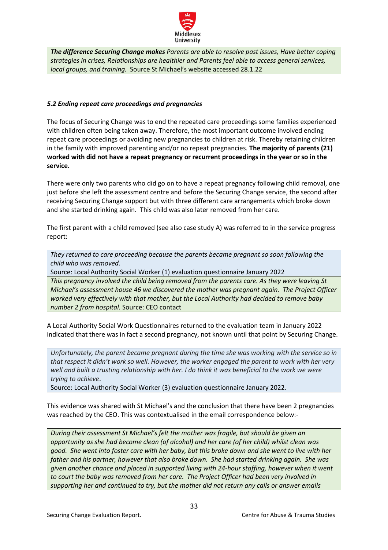

*The difference Securing Change makes Parents are able to resolve past issues, Have better coping strategies in crises, Relationships are healthier and Parents feel able to access general services, local groups, and training.* Source St Michael's website accessed 28.1.22

# <span id="page-32-0"></span>*5.2 Ending repeat care proceedings and pregnancies*

The focus of Securing Change was to end the repeated care proceedings some families experienced with children often being taken away. Therefore, the most important outcome involved ending repeat care proceedings or avoiding new pregnancies to children at risk. Thereby retaining children in the family with improved parenting and/or no repeat pregnancies. **The majority of parents (21) worked with did not have a repeat pregnancy or recurrent proceedings in the year or so in the service.** 

There were only two parents who did go on to have a repeat pregnancy following child removal, one just before she left the assessment centre and before the Securing Change service, the second after receiving Securing Change support but with three different care arrangements which broke down and she started drinking again. This child was also later removed from her care.

The first parent with a child removed (see also case study A) was referred to in the service progress report:

*They returned to care proceeding because the parents became pregnant so soon following the child who was removed.*

Source: Local Authority Social Worker (1) evaluation questionnaire January 2022

*This pregnancy involved the child being removed from the parents care. As they were leaving St Michael's assessment house 46 we discovered the mother was pregnant again. The Project Officer worked very effectively with that mother, but the Local Authority had decided to remove baby number 2 from hospital.* Source: CEO contact

A Local Authority Social Work Questionnaires returned to the evaluation team in January 2022 indicated that there was in fact a second pregnancy, not known until that point by Securing Change.

*Unfortunately, the parent became pregnant during the time she was working with the service so in that respect it didn't work so well. However, the worker engaged the parent to work with her very* well and built a trusting relationship with her. I do think it was beneficial to the work we were *trying to achieve*.

Source: Local Authority Social Worker (3) evaluation questionnaire January 2022.

This evidence was shared with St Michael's and the conclusion that there have been 2 pregnancies was reached by the CEO. This was contextualised in the email correspondence below:-

*During their assessment St Michael's felt the mother was fragile, but should be given an opportunity as she had become clean (of alcohol) and her care (of her child) whilst clean was* good. She went into foster care with her baby, but this broke down and she went to live with her *father and his partner, however that also broke down. She had started drinking again. She was given another chance and placed in supported living with 24-hour staffing, however when it went to court the baby was removed from her care. The Project Officer had been very involved in supporting her and continued to try, but the mother did not return any calls or answer emails*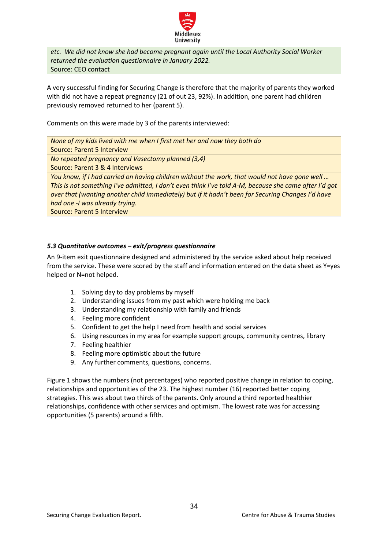

*etc. We did not know she had become pregnant again until the Local Authority Social Worker returned the evaluation questionnaire in January 2022.* Source: CEO contact

A very successful finding for Securing Change is therefore that the majority of parents they worked with did not have a repeat pregnancy (21 of out 23, 92%). In addition, one parent had children previously removed returned to her (parent 5).

Comments on this were made by 3 of the parents interviewed:

*None of my kids lived with me when I first met her and now they both do* 

Source: Parent 5 Interview

*No repeated pregnancy and Vasectomy planned (3,4)*

Source: Parent 3 & 4 Interviews

*You know, if I had carried on having children without the work, that would not have gone well … This is not something I've admitted, I don't even think I've told A-M, because she came after I'd got over that (wanting another child immediately) but if it hadn't been for Securing Changes I'd have had one -I was already trying.*

Source: Parent 5 Interview

## <span id="page-33-0"></span>*5.3 Quantitative outcomes – exit/progress questionnaire*

An 9-item exit questionnaire designed and administered by the service asked about help received from the service. These were scored by the staff and information entered on the data sheet as Y=yes helped or N=not helped.

- 1. Solving day to day problems by myself
- 2. Understanding issues from my past which were holding me back
- 3. Understanding my relationship with family and friends
- 4. Feeling more confident
- 5. Confident to get the help I need from health and social services
- 6. Using resources in my area for example support groups, community centres, library
- 7. Feeling healthier
- 8. Feeling more optimistic about the future
- 9. Any further comments, questions, concerns.

Figure 1 shows the numbers (not percentages) who reported positive change in relation to coping, relationships and opportunities of the 23. The highest number (16) reported better coping strategies. This was about two thirds of the parents. Only around a third reported healthier relationships, confidence with other services and optimism. The lowest rate was for accessing opportunities (5 parents) around a fifth.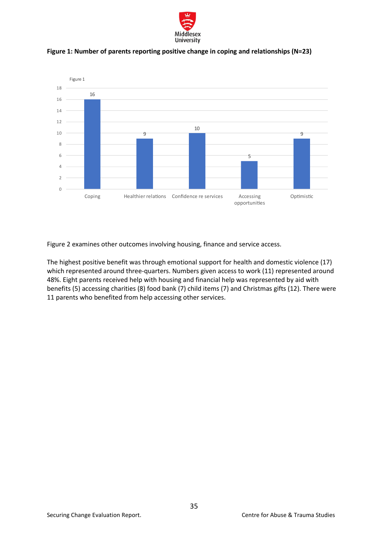

**Figure 1: Number of parents reporting positive change in coping and relationships (N=23)**

<span id="page-34-0"></span>

Figure 2 examines other outcomes involving housing, finance and service access.

The highest positive benefit was through emotional support for health and domestic violence (17) which represented around three-quarters. Numbers given access to work (11) represented around 48%. Eight parents received help with housing and financial help was represented by aid with benefits (5) accessing charities (8) food bank (7) child items (7) and Christmas gifts (12). There were 11 parents who benefited from help accessing other services.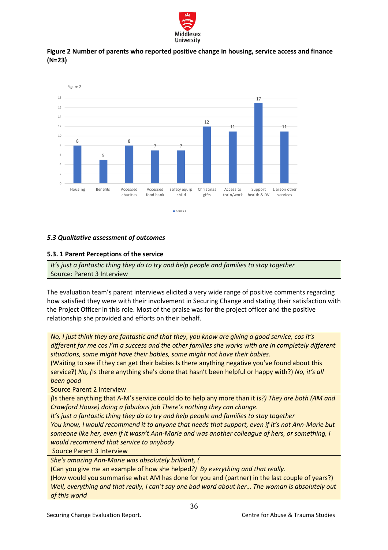

<span id="page-35-0"></span>



## <span id="page-35-1"></span>*5.3 Qualitative assessment of outcomes*

## <span id="page-35-2"></span>**5.3. 1 Parent Perceptions of the service**

*It's just a fantastic thing they do to try and help people and families to stay together* Source: Parent 3 Interview

The evaluation team's parent interviews elicited a very wide range of positive comments regarding how satisfied they were with their involvement in Securing Change and stating their satisfaction with the Project Officer in this role. Most of the praise was for the project officer and the positive relationship she provided and efforts on their behalf.

*No, I just think they are fantastic and that they, you know are giving a good service, cos it's different for me cos I'm a success and the other families she works with are in completely different situations, some might have their babies, some might not have their babies.* 

(Waiting to see if they can get their babies Is there anything negative you've found about this service?) *No, (*Is there anything she's done that hasn't been helpful or happy with?) *No, it's all been good*

Source Parent 2 Interview

*(*Is there anything that A-M's service could do to help any more than it is*?) They are both (AM and Crawford House) doing a fabulous job There's nothing they can change.*

*It's just a fantastic thing they do to try and help people and families to stay together You know, I would recommend it to anyone that needs that support, even if it's not Ann-Marie but someone like her, even if it wasn't Ann-Marie and was another colleague of hers, or something, I would recommend that service to anybody*

Source Parent 3 Interview

*She's amazing Ann-Marie was absolutely brilliant, (*

(Can you give me an example of how she helped*?) By everything and that really*.

(How would you summarise what AM has done for you and (partner) in the last couple of years?) *Well, everything and that really, I can't say one bad word about her… The woman is absolutely out of this world*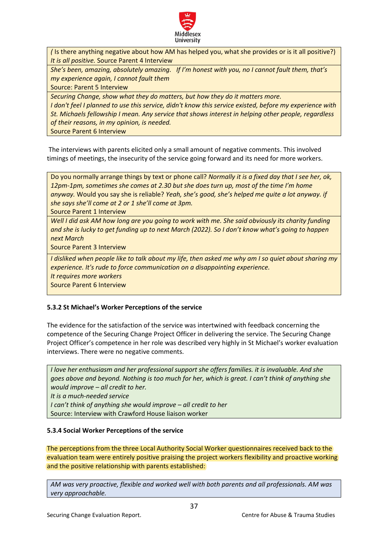

*(* Is there anything negative about how AM has helped you, what she provides or is it all positive?) *It is all positive.* Source Parent 4 Interview

*She's been, amazing, absolutely amazing. If I'm honest with you, no I cannot fault them, that's my experience again, I cannot fault them* 

Source: Parent 5 Interview

*Securing Change, show what they do matters, but how they do it matters more. I don't feel I planned to use this service, didn't know this service existed, before my experience with St. Michaels fellowship I mean. Any service that shows interest in helping other people, regardless of their reasons, in my opinion, is needed.* 

Source Parent 6 Interview

The interviews with parents elicited only a small amount of negative comments. This involved timings of meetings, the insecurity of the service going forward and its need for more workers.

Do you normally arrange things by text or phone call? *Normally it is a fixed day that I see her, ok, 12pm-1pm, sometimes she comes at 2.30 but she does turn up, most of the time I'm home anyway.* Would you say she is reliable? *Yeah, she's good, she's helped me quite a lot anyway. if she says she'll come at 2 or 1 she'll come at 3pm.* 

Source Parent 1 Interview

*Well I did ask AM how long are you going to work with me. She said obviously its charity funding and she is lucky to get funding up to next March (2022). So I don't know what's going to happen next March*

Source Parent 3 Interview

*I disliked when people like to talk about my life, then asked me why am I so quiet about sharing my experience. It's rude to force communication on a disappointing experience. It requires more workers*

Source Parent 6 Interview

## <span id="page-36-0"></span>**5.3.2 St Michael's Worker Perceptions of the service**

The evidence for the satisfaction of the service was intertwined with feedback concerning the competence of the Securing Change Project Officer in delivering the service. The Securing Change Project Officer's competence in her role was described very highly in St Michael's worker evaluation interviews. There were no negative comments.

*I love her enthusiasm and her professional support she offers families. it is invaluable. And she goes above and beyond. Nothing is too much for her, which is great. I can't think of anything she would improve – all credit to her. It is a much-needed service I can't think of anything she would improve – all credit to her* Source: Interview with Crawford House liaison worker

## <span id="page-36-1"></span>**5.3.4 Social Worker Perceptions of the service**

The perceptions from the three Local Authority Social Worker questionnaires received back to the evaluation team were entirely positive praising the project workers flexibility and proactive working and the positive relationship with parents established:

*AM was very proactive, flexible and worked well with both parents and all professionals. AM was very approachable.*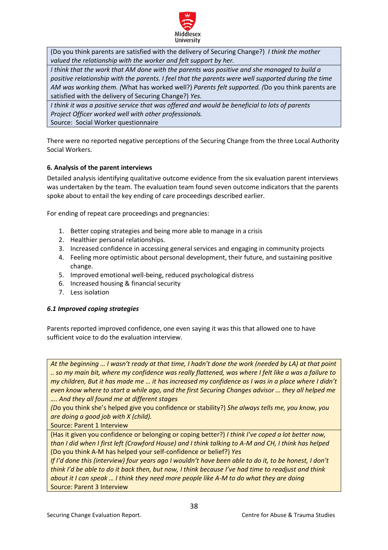

(Do you think parents are satisfied with the delivery of Securing Change?) *I think the mother valued the relationship with the worker and felt support by her.* 

*I think that the work that AM done with the parents was positive and she managed to build a positive relationship with the parents. I feel that the parents were well supported during the time AM was working them. (*What has worked well?) *Parents felt supported. (*Do you think parents are satisfied with the delivery of Securing Change?) *Yes.*

*I think it was a positive service that was offered and would be beneficial to lots of parents Project Officer worked well with other professionals.* Source: Social Worker questionnaire

There were no reported negative perceptions of the Securing Change from the three Local Authority Social Workers.

# <span id="page-37-0"></span>**6. Analysis of the parent interviews**

Detailed analysis identifying qualitative outcome evidence from the six evaluation parent interviews was undertaken by the team. The evaluation team found seven outcome indicators that the parents spoke about to entail the key ending of care proceedings described earlier.

For ending of repeat care proceedings and pregnancies:

- 1. Better coping strategies and being more able to manage in a crisis
- 2. Healthier personal relationships.
- 3. Increased confidence in accessing general services and engaging in community projects
- 4. Feeling more optimistic about personal development, their future, and sustaining positive change.
- 5. Improved emotional well-being, reduced psychological distress
- 6. Increased housing & financial security
- 7. Less isolation

## <span id="page-37-1"></span>*6.1 Improved coping strategies*

Parents reported improved confidence, one even saying it was this that allowed one to have sufficient voice to do the evaluation interview.

*At the beginning … I wasn't ready at that time, I hadn't done the work (needed by LA) at that point .. so my main bit, where my confidence was really flattened, was where I felt like a was a failure to my children, But it has made me … it has increased my confidence as I was in a place where I didn't even know where to start a while ago, and the first Securing Changes advisor … they all helped me …. And they all found me at different stages* 

*(D*o you think she's helped give you confidence or stability?) *She always tells me, you know, you are doing a good job with X (child).* 

Source: Parent 1 Interview

(Has it given you confidence or belonging or coping better?) *I think I've coped a lot better now, than I did when I first left (Crawford House) and I think talking to A-M and CH, I think has helped* (Do you think A-M has helped your self-confidence or belief?) *Yes* 

*If I'd done this (interview) four years ago I wouldn't have been able to do it, to be honest, I don't think I'd be able to do it back then, but now, I think because I've had time to readjust and think about it I can speak … I think they need more people like A-M to do what they are doing*  Source: Parent 3 Interview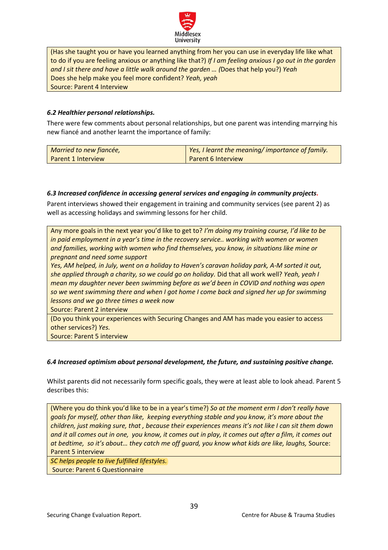

(Has she taught you or have you learned anything from her you can use in everyday life like what to do if you are feeling anxious or anything like that?) *If I am feeling anxious I go out in the garden and I sit there and have a little walk around the garden … (*Does that help you?) *Yeah*  Does she help make you feel more confident? *Yeah, yeah*  Source: Parent 4 Interview

## <span id="page-38-0"></span>*6.2 Healthier personal relationships.*

There were few comments about personal relationships, but one parent was intending marrying his new fiancé and another learnt the importance of family:

| Married to new fiancée, | Yes, I learnt the meaning/importance of family. |
|-------------------------|-------------------------------------------------|
| Parent 1 Interview      | Parent 6 Interview                              |

## <span id="page-38-1"></span>*6.3 Increased confidence in accessing general services and engaging in community projects.*

Parent interviews showed their engagement in training and community services (see parent 2) as well as accessing holidays and swimming lessons for her child.

Any more goals in the next year you'd like to get to? *I'm doing my training course, I'd like to be in paid employment in a year's time in the recovery service.. working with women or women and families, working with women who find themselves, you know, in situations like mine or pregnant and need some support* 

*Yes, AM helped, in July, went on a holiday to Haven's caravan holiday park, A-M sorted it out, she applied through a charity, so we could go on holiday.* Did that all work well? *Yeah, yeah I mean my daughter never been swimming before as we'd been in COVID and nothing was open so we went swimming there and when I got home I come back and signed her up for swimming lessons and we go three times a week now*

Source: Parent 2 interview

(Do you think your experiences with Securing Changes and AM has made you easier to access other services?) *Yes.* 

Source: Parent 5 interview

## <span id="page-38-2"></span>*6.4 Increased optimism about personal development, the future, and sustaining positive change.*

Whilst parents did not necessarily form specific goals, they were at least able to look ahead. Parent 5 describes this:

(Where you do think you'd like to be in a year's time?) *So at the moment erm I don't really have goals for myself, other than like, keeping everything stable and you know, it's more about the children, just making sure, that , because their experiences means it's not like I can sit them down and it all comes out in one, you know, it comes out in play, it comes out after a film, it comes out at bedtime, so it's about… they catch me off guard, you know what kids are like, laughs,* Source: Parent 5 interview

*SC helps people to live fulfilled lifestyles.*

Source: Parent 6 Questionnaire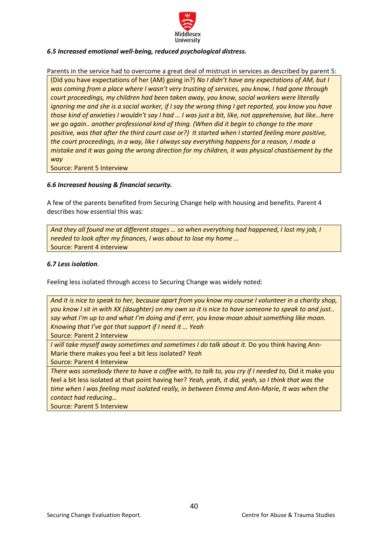

# <span id="page-39-0"></span>*6.5 Increased emotional well-being, reduced psychological distress.*

Parents in the service had to overcome a great deal of mistrust in services as described by parent 5: (Did you have expectations of her (AM) going in?) *No I didn't have any expectations of AM, but I was coming from a place where I wasn't very trusting of services, you know, I had gone through court proceedings, my children had been taken away, you know, social workers were literally ignoring me and she is a social worker, if I say the wrong thing I get reported, you know you have those kind of anxieties I wouldn't say I had … I was just a bit, like, not apprehensive, but like…here we go again.. another professional kind of thing. (When did it begin to change to the more positive, was that after the third court case or?) It started when I started feeling more positive, the court proceedings, in a way, like I always say everything happens for a reason, I made a mistake and it was going the wrong direction for my children, it was physical chastisement by the way*

Source: Parent 5 Interview

## <span id="page-39-1"></span>*6.6 Increased housing & financial security.*

A few of the parents benefited from Securing Change help with housing and benefits. Parent 4 describes how essential this was:

*And they all found me at different stages … so when everything had happened, I lost my job, I needed to look after my finances, I was about to lose my home …*  Source: Parent 4 interview

## <span id="page-39-2"></span>*6.7 Less isolation.*

Feeling less isolated through access to Securing Change was widely noted:

*And it is nice to speak to her, because apart from you know my course I volunteer in a charity shop, you know I sit in with XX (daughter) on my own so it is nice to have someone to speak to and just.. say what I'm up to and what I'm doing and if errr, you know moan about something like moan. Knowing that I've got that support if I need it … Yeah* 

Source: Parent 2 Interview

*I will take myself away sometimes and sometimes I do talk about it.* Do you think having Ann-Marie there makes you feel a bit less isolated? *Yeah*

Source: Parent 4 Interview

*There was somebody there to have a coffee with, to talk to, you cry if I needed to, Did it make you* feel a bit less isolated at that point having her? *Yeah, yeah, it did, yeah, so I think that was the time when I was feeling most isolated really, in between Emma and Ann-Marie, It was when the contact had reducing…* 

Source: Parent 5 Interview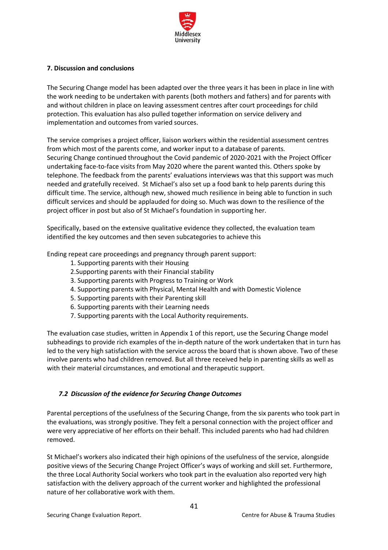

## <span id="page-40-0"></span>**7. Discussion and conclusions**

The Securing Change model has been adapted over the three years it has been in place in line with the work needing to be undertaken with parents (both mothers and fathers) and for parents with and without children in place on leaving assessment centres after court proceedings for child protection. This evaluation has also pulled together information on service delivery and implementation and outcomes from varied sources.

The service comprises a project officer, liaison workers within the residential assessment centres from which most of the parents come, and worker input to a database of parents. Securing Change continued throughout the Covid pandemic of 2020-2021 with the Project Officer undertaking face-to-face visits from May 2020 where the parent wanted this. Others spoke by telephone. The feedback from the parents' evaluations interviews was that this support was much needed and gratefully received. St Michael's also set up a food bank to help parents during this difficult time. The service, although new, showed much resilience in being able to function in such difficult services and should be applauded for doing so. Much was down to the resilience of the project officer in post but also of St Michael's foundation in supporting her.

Specifically, based on the extensive qualitative evidence they collected, the evaluation team identified the key outcomes and then seven subcategories to achieve this

Ending repeat care proceedings and pregnancy through parent support:

- 1. Supporting parents with their Housing
- 2.Supporting parents with their Financial stability
- 3. Supporting parents with Progress to Training or Work
- 4. Supporting parents with Physical, Mental Health and with Domestic Violence
- 5. Supporting parents with their Parenting skill
- 6. Supporting parents with their Learning needs
- 7. Supporting parents with the Local Authority requirements.

The evaluation case studies, written in Appendix 1 of this report, use the Securing Change model subheadings to provide rich examples of the in-depth nature of the work undertaken that in turn has led to the very high satisfaction with the service across the board that is shown above. Two of these involve parents who had children removed. But all three received help in parenting skills as well as with their material circumstances, and emotional and therapeutic support.

# <span id="page-40-1"></span>*7.2 Discussion of the evidence for Securing Change Outcomes*

Parental perceptions of the usefulness of the Securing Change, from the six parents who took part in the evaluations, was strongly positive. They felt a personal connection with the project officer and were very appreciative of her efforts on their behalf. This included parents who had had children removed.

St Michael's workers also indicated their high opinions of the usefulness of the service, alongside positive views of the Securing Change Project Officer's ways of working and skill set. Furthermore, the three Local Authority Social workers who took part in the evaluation also reported very high satisfaction with the delivery approach of the current worker and highlighted the professional nature of her collaborative work with them.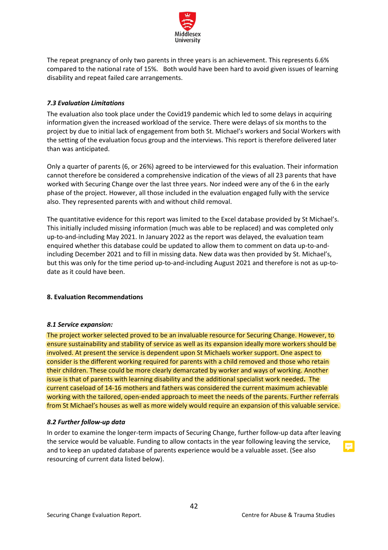

The repeat pregnancy of only two parents in three years is an achievement. This represents 6.6% compared to the national rate of 15%. Both would have been hard to avoid given issues of learning disability and repeat failed care arrangements.

## <span id="page-41-0"></span>*7.3 Evaluation Limitations*

The evaluation also took place under the Covid19 pandemic which led to some delays in acquiring information given the increased workload of the service. There were delays of six months to the project by due to initial lack of engagement from both St. Michael's workers and Social Workers with the setting of the evaluation focus group and the interviews. This report is therefore delivered later than was anticipated.

Only a quarter of parents (6, or 26%) agreed to be interviewed for this evaluation. Their information cannot therefore be considered a comprehensive indication of the views of all 23 parents that have worked with Securing Change over the last three years. Nor indeed were any of the 6 in the early phase of the project. However, all those included in the evaluation engaged fully with the service also. They represented parents with and without child removal.

The quantitative evidence for this report was limited to the Excel database provided by St Michael's. This initially included missing information (much was able to be replaced) and was completed only up-to-and-including May 2021. In January 2022 as the report was delayed, the evaluation team enquired whether this database could be updated to allow them to comment on data up-to-andincluding December 2021 and to fill in missing data. New data was then provided by St. Michael's, but this was only for the time period up-to-and-including August 2021 and therefore is not as up-todate as it could have been.

## <span id="page-41-1"></span>**8. Evaluation Recommendations**

## <span id="page-41-2"></span>*8.1 Service expansion:*

The project worker selected proved to be an invaluable resource for Securing Change. However, to ensure sustainability and stability of service as well as its expansion ideally more workers should be involved. At present the service is dependent upon St Michaels worker support. One aspect to consider is the different working required for parents with a child removed and those who retain their children. These could be more clearly demarcated by worker and ways of working. Another issue is that of parents with learning disability and the additional specialist work needed**.** The current caseload of 14-16 mothers and fathers was considered the current maximum achievable working with the tailored, open-ended approach to meet the needs of the parents. Further referrals from St Michael's houses as well as more widely would require an expansion of this valuable service.

## <span id="page-41-3"></span>*8.2 Further follow-up data*

In order to examine the longer-term impacts of Securing Change, further follow-up data after leaving the service would be valuable. Funding to allow contacts in the year following leaving the service, and to keep an updated database of parents experience would be a valuable asset. (See also resourcing of current data listed below).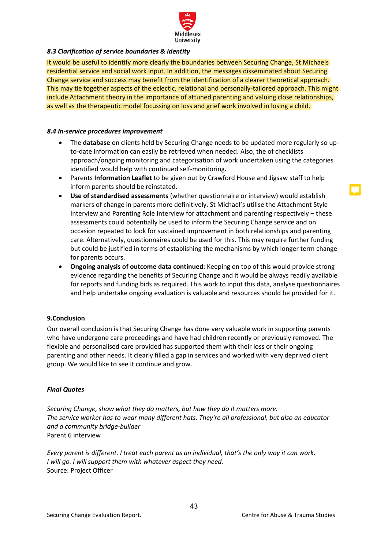

## <span id="page-42-0"></span>*8.3 Clarification of service boundaries & identity*

It would be useful to identify more clearly the boundaries between Securing Change, St Michaels residential service and social work input. In addition, the messages disseminated about Securing Change service and success may benefit from the identification of a clearer theoretical approach. This may tie together aspects of the eclectic, relational and personally-tailored approach. This might include Attachment theory in the importance of attuned parenting and valuing close relationships, as well as the therapeutic model focussing on loss and grief work involved in losing a child.

## <span id="page-42-1"></span>*8.4 In-service procedures improvement*

- The **database** on clients held by Securing Change needs to be updated more regularly so upto-date information can easily be retrieved when needed. Also, the of checklists approach/ongoing monitoring and categorisation of work undertaken using the categories identified would help with continued self-monitoring**.**
- Parents **Information Leaflet** to be given out by Crawford House and Jigsaw staff to help inform parents should be reinstated.
- **Use of standardised assessments** (whether questionnaire or interview) would establish markers of change in parents more definitively. St Michael's utilise the Attachment Style Interview and Parenting Role Interview for attachment and parenting respectively – these assessments could potentially be used to inform the Securing Change service and on occasion repeated to look for sustained improvement in both relationships and parenting care. Alternatively, questionnaires could be used for this. This may require further funding but could be justified in terms of establishing the mechanisms by which longer term change for parents occurs.
- **Ongoing analysis of outcome data continued**: Keeping on top of this would provide strong evidence regarding the benefits of Securing Change and it would be always readily available for reports and funding bids as required. This work to input this data, analyse questionnaires and help undertake ongoing evaluation is valuable and resources should be provided for it.

## <span id="page-42-2"></span>**9.Conclusion**

Our overall conclusion is that Securing Change has done very valuable work in supporting parents who have undergone care proceedings and have had children recently or previously removed. The flexible and personalised care provided has supported them with their loss or their ongoing parenting and other needs. It clearly filled a gap in services and worked with very deprived client group. We would like to see it continue and grow.

## <span id="page-42-3"></span>*Final Quotes*

*Securing Change, show what they do matters, but how they do it matters more. The service worker has to wear many different hats. They're all professional, but also an educator and a community bridge-builder* Parent 6 interview

*Every parent is different. I treat each parent as an individual, that's the only way it can work. I will go. I will support them with whatever aspect they need.* Source: Project Officer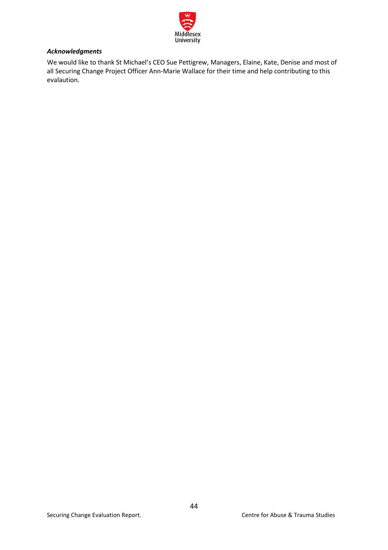

# <span id="page-43-0"></span>*Acknowledgments*

We would like to thank St Michael's CEO Sue Pettigrew, Managers, Elaine, Kate, Denise and most of all Securing Change Project Officer Ann-Marie Wallace for their time and help contributing to this evalaution.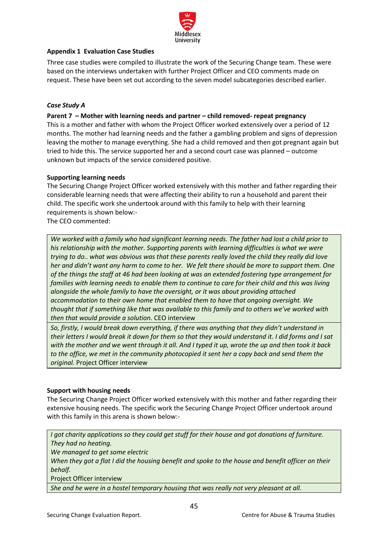

# <span id="page-44-0"></span>**Appendix 1 Evaluation Case Studies**

Three case studies were compiled to illustrate the work of the Securing Change team. These were based on the interviews undertaken with further Project Officer and CEO comments made on request. These have been set out according to the seven model subcategories described earlier.

# <span id="page-44-1"></span>*Case Study A*

## **Parent 7 – Mother with learning needs and partner – child removed- repeat pregnancy**

This is a mother and father with whom the Project Officer worked extensively over a period of 12 months. The mother had learning needs and the father a gambling problem and signs of depression leaving the mother to manage everything. She had a child removed and then got pregnant again but tried to hide this. The service supported her and a second court case was planned – outcome unknown but impacts of the service considered positive.

## **Supporting learning needs**

The Securing Change Project Officer worked extensively with this mother and father regarding their considerable learning needs that were affecting their ability to run a household and parent their child. The specific work she undertook around with this family to help with their learning requirements is shown below:-

The CEO commented:

*We worked with a family who had significant learning needs. The father had lost a child prior to his relationship with the mother. Supporting parents with learning difficulties is what we were trying to do.. what was obvious was that these parents really loved the child they really did love her and didn't want any harm to come to her. We felt there should be more to support them. One of the things the staff at 46 had been looking at was an extended fostering type arrangement for families with learning needs to enable them to continue to care for their child and this was living alongside the whole family to have the oversight, or it was about providing attached accommodation to their own home that enabled them to have that ongoing oversight. We thought that if something like that was available to this family and to others we've worked with then that would provide a solution.* CEO interview

*So, firstly, I would break down everything, if there was anything that they didn't understand in their letters I would break it down for them so that they would understand it. I did forms and I sat with the mother and we went through it all. And I typed it up, wrote the up and then took it back to the office, we met in the community photocopied it sent her a copy back and send them the original.* Project Officer interview

# **Support with housing needs**

The Securing Change Project Officer worked extensively with this mother and father regarding their extensive housing needs. The specific work the Securing Change Project Officer undertook around with this family in this arena is shown below:-

*I got charity applications so they could get stuff for their house and got donations of furniture. They had no heating.* 

*We managed to get some electric* 

*When they got a flat I did the housing benefit and spoke to the house and benefit officer on their behalf.*

Project Officer interview

*She and he were in a hostel temporary housing that was really not very pleasant at all.*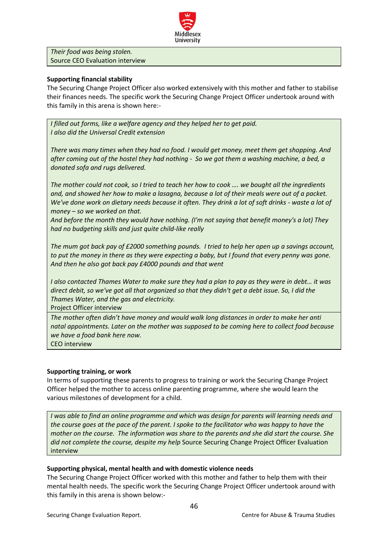

*Their food was being stolen.* Source CEO Evaluation interview

## **Supporting financial stability**

The Securing Change Project Officer also worked extensively with this mother and father to stabilise their finances needs. The specific work the Securing Change Project Officer undertook around with this family in this arena is shown here:-

*I filled out forms, like a welfare agency and they helped her to get paid. I also did the Universal Credit extension* 

*There was many times when they had no food. I would get money, meet them get shopping. And after coming out of the hostel they had nothing - So we got them a washing machine, a bed, a donated sofa and rugs delivered.* 

*The mother could not cook, so I tried to teach her how to cook …. we bought all the ingredients and, and showed her how to make a lasagna, because a lot of their meals were out of a packet. We've done work on dietary needs because it often. They drink a lot of soft drinks - waste a lot of money – so we worked on that.* 

*And before the month they would have nothing. (I'm not saying that benefit money's a lot) They had no budgeting skills and just quite child-like really* 

*The mum got back pay of £2000 something pounds. I tried to help her open up a savings account, to put the money in there as they were expecting a baby, but I found that every penny was gone. And then he also got back pay £4000 pounds and that went*

*I* also contacted Thames Water to make sure they had a plan to pay as they were in debt... it was *direct debit, so we've got all that organized so that they didn't get a debt issue. So, I did the Thames Water, and the gas and electricity.* 

Project Officer interview

*The mother often didn't have money and would walk long distances in order to make her anti natal appointments. Later on the mother was supposed to be coming here to collect food because we have a food bank here now.* 

CEO interview

## **Supporting training, or work**

In terms of supporting these parents to progress to training or work the Securing Change Project Officer helped the mother to access online parenting programme, where she would learn the various milestones of development for a child.

*I was able to find an online programme and which was design for parents will learning needs and the course goes at the pace of the parent. I spoke to the facilitator who was happy to have the mother on the course. The information was share to the parents and she did start the course. She did not complete the course, despite my help* Source Securing Change Project Officer Evaluation interview

## **Supporting physical, mental health and with domestic violence needs**

The Securing Change Project Officer worked with this mother and father to help them with their mental health needs. The specific work the Securing Change Project Officer undertook around with this family in this arena is shown below:-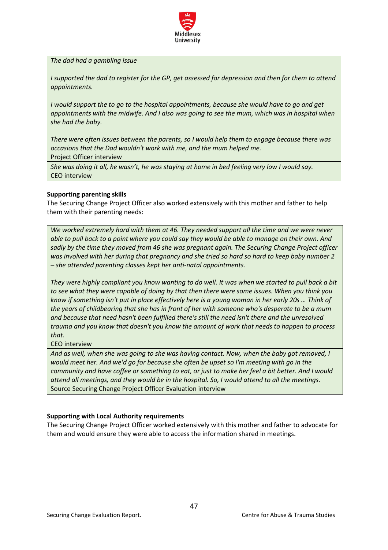

*The dad had a gambling issue*

*I* supported the dad to register for the GP, get assessed for depression and then for them to attend *appointments.*

*I would support the to go to the hospital appointments, because she would have to go and get appointments with the midwife. And I also was going to see the mum, which was in hospital when she had the baby.* 

*There were often issues between the parents, so I would help them to engage because there was occasions that the Dad wouldn't work with me, and the mum helped me.* Project Officer interview

*She was doing it all, he wasn't, he was staying at home in bed feeling very low I would say.*  CEO interview

#### **Supporting parenting skills**

The Securing Change Project Officer also worked extensively with this mother and father to help them with their parenting needs:

*We worked extremely hard with them at 46. They needed support all the time and we were never able to pull back to a point where you could say they would be able to manage on their own. And sadly by the time they moved from 46 she was pregnant again. The Securing Change Project officer was involved with her during that pregnancy and she tried so hard so hard to keep baby number 2 – she attended parenting classes kept her anti-natal appointments.* 

*They were highly compliant you know wanting to do well. It was when we started to pull back a bit to see what they were capable of doing by that then there were some issues. When you think you know if something isn't put in place effectively here is a young woman in her early 20s … Think of the years of childbearing that she has in front of her with someone who's desperate to be a mum and because that need hasn't been fulfilled there's still the need isn't there and the unresolved trauma and you know that doesn't you know the amount of work that needs to happen to process that.*

CEO interview

*And as well, when she was going to she was having contact. Now, when the baby got removed, I would meet her. And we'd go for because she often be upset so I'm meeting with go in the community and have coffee or something to eat, or just to make her feel a bit better. And I would attend all meetings, and they would be in the hospital. So, I would attend to all the meetings.* Source Securing Change Project Officer Evaluation interview

## **Supporting with Local Authority requirements**

The Securing Change Project Officer worked extensively with this mother and father to advocate for them and would ensure they were able to access the information shared in meetings.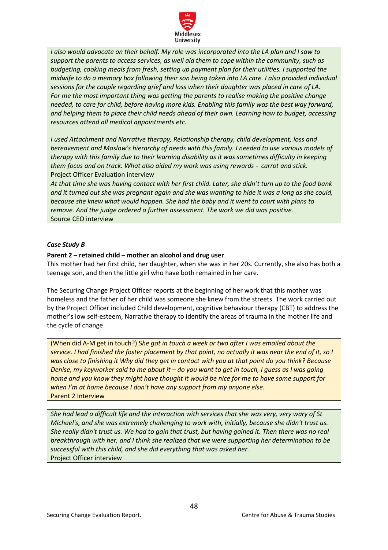

*I also would advocate on their behalf. My role was incorporated into the LA plan and I saw to support the parents to access services, as well aid them to cope within the community, such as budgeting, cooking meals from fresh, setting up payment plan for their utilities. I supported the midwife to do a memory box following their son being taken into LA care. I also provided individual sessions for the couple regarding grief and loss when their daughter was placed in care of LA. For me the most important thing was getting the parents to realise making the positive change needed, to care for child, before having more kids. Enabling this family was the best way forward, and helping them to place their child needs ahead of their own. Learning how to budget, accessing resources attend all medical appointments etc.*

*I used Attachment and Narrative therapy, Relationship therapy, child development, loss and bereavement and Maslow's hierarchy of needs with this family. I needed to use various models of therapy with this family due to their learning disability as it was sometimes difficulty in keeping them focus and on track. What also aided my work was using rewards - carrot and stick.*  Project Officer Evaluation interview

*At that time she was having contact with her first child. Later, she didn't turn up to the food bank and it turned out she was pregnant again and she was wanting to hide it was a long as she could, because she knew what would happen. She had the baby and it went to court with plans to remove. And the judge ordered a further assessment. The work we did was positive.*  Source CEO interview

## <span id="page-47-0"></span>*Case Study B*

## **Parent 2 – retained child – mother an alcohol and drug user**

This mother had her first child, her daughter, when she was in her 20s. Currently, she also has both a teenage son, and then the little girl who have both remained in her care.

The Securing Change Project Officer reports at the beginning of her work that this mother was homeless and the father of her child was someone she knew from the streets. The work carried out by the Project Officer included Child development, cognitive behaviour therapy (CBT) to address the mother's low self-esteem, Narrative therapy to identify the areas of trauma in the mother life and the cycle of change.

(When did A-M get in touch?) S*he got in touch a week or two after I was emailed about the service. I had finished the foster placement by that point, no actually it was near the end of it, so I was close to finishing it Why did they get in contact with you at that point do you think? Because Denise, my keyworker said to me about it – do you want to get in touch, I guess as I was going home and you know they might have thought it would be nice for me to have some support for when I'm at home because I don't have any support from my anyone else.* Parent 2 Interview

*She had lead a difficult life and the interaction with services that she was very, very wary of St Michael's, and she was extremely challenging to work with, initially, because she didn't trust us. She really didn't trust us. We had to gain that trust, but having gained it. Then there was no real breakthrough with her, and I think she realized that we were supporting her determination to be successful with this child, and she did everything that was asked her.*  Project Officer interview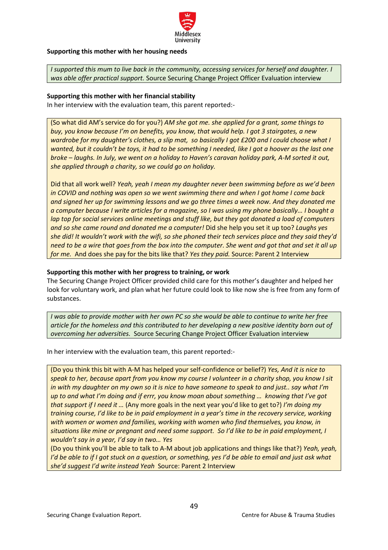

## **Supporting this mother with her housing needs**

*I supported this mum to live back in the community, accessing services for herself and daughter. I was able offer practical support.* Source Securing Change Project Officer Evaluation interview

#### **Supporting this mother with her financial stability**

In her interview with the evaluation team, this parent reported:-

(So what did AM's service do for you?) *AM she got me. she applied for a grant, some things to buy, you know because I'm on benefits, you know, that would help. I got 3 stairgates, a new wardrobe for my daughter's clothes, a slip mat, so basically I got £200 and I could choose what I wanted, but it couldn't be toys, it had to be something I needed, like I got a hoover as the last one broke – laughs. In July, we went on a holiday to Haven's caravan holiday park, A-M sorted it out, she applied through a charity, so we could go on holiday.* 

Did that all work well? *Yeah, yeah I mean my daughter never been swimming before as we'd been in COVID and nothing was open so we went swimming there and when I got home I come back and signed her up for swimming lessons and we go three times a week now. And they donated me a computer because I write articles for a magazine, so I was using my phone basically… I bought a lap top for social services online meetings and stuff like, but they got donated a load of computers and so she came round and donated me a computer!* Did she help you set it up too? *Laughs yes she did! It wouldn't work with the wifi, so she phoned their tech services place and they said they'd need to be a wire that goes from the box into the computer. She went and got that and set it all up for me.* And does she pay for the bits like that? *Yes they paid.* Source: Parent 2 Interview

#### **Supporting this mother with her progress to training, or work**

The Securing Change Project Officer provided child care for this mother's daughter and helped her look for voluntary work, and plan what her future could look to like now she is free from any form of substances.

*I was able to provide mother with her own PC so she would be able to continue to write her free article for the homeless and this contributed to her developing a new positive identity born out of overcoming her adversities.* Source Securing Change Project Officer Evaluation interview

In her interview with the evaluation team, this parent reported:-

(Do you think this bit with A-M has helped your self-confidence or belief?) *Yes, And it is nice to speak to her, because apart from you know my course I volunteer in a charity shop, you know I sit in with my daughter on my own so it is nice to have someone to speak to and just.. say what I'm up to and what I'm doing and if errr, you know moan about something … knowing that I've got that support if I need it …* (Any more goals in the next year you'd like to get to?) *I'm doing my training course, I'd like to be in paid employment in a year's time in the recovery service, working with women or women and families, working with women who find themselves, you know, in situations like mine or pregnant and need some support. So I'd like to be in paid employment, I wouldn't say in a year, I'd say in two… Yes* 

(Do you think you'll be able to talk to A-M about job applications and things like that?) *Yeah, yeah, I'd be able to if I got stuck on a question, or something, yes I'd be able to email and just ask what she'd suggest I'd write instead Yeah* Source: Parent 2 Interview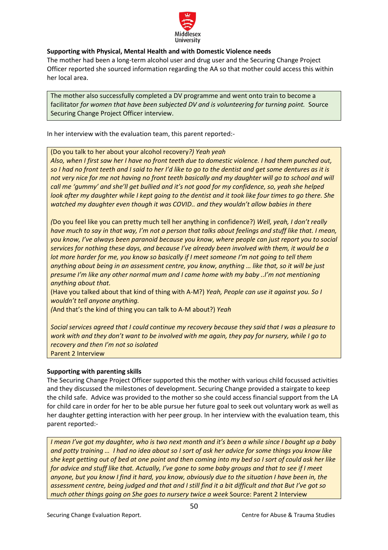

# **Supporting with Physical, Mental Health and with Domestic Violence needs**

The mother had been a long-term alcohol user and drug user and the Securing Change Project Officer reported she sourced information regarding the AA so that mother could access this within her local area.

The mother also successfully completed a DV programme and went onto train to become a facilitator *for women that have been subjected DV and is volunteering for turning point.* Source Securing Change Project Officer interview.

In her interview with the evaluation team, this parent reported:-

(Do you talk to her about your alcohol recovery*?) Yeah yeah*

*Also, when I first saw her I have no front teeth due to domestic violence. I had them punched out, so I had no front teeth and I said to her I'd like to go to the dentist and get some dentures as it is*  not very nice for me not having no front teeth basically and my daughter will go to school and will *call me 'gummy' and she'll get bullied and it's not good for my confidence, so, yeah she helped look after my daughter while I kept going to the dentist and it took like four times to go there. She watched my daughter even though it was COVID.. and they wouldn't allow babies in there*

*(*Do you feel like you can pretty much tell her anything in confidence?) *Well, yeah, I don't really have much to say in that way, I'm not a person that talks about feelings and stuff like that. I mean, you know, I've always been paranoid because you know, where people can just report you to social services for nothing these days, and because I've already been involved with them, it would be a lot more harder for me, you know so basically if I meet someone I'm not going to tell them anything about being in an assessment centre, you know, anything … like that, so it will be just presume I'm like any other normal mum and I came home with my baby ..I'm not mentioning anything about that.* 

(Have you talked about that kind of thing with A-M?) *Yeah, People can use it against you. So I wouldn't tell anyone anything.* 

*(*And that's the kind of thing you can talk to A-M about?) *Yeah*

*Social services agreed that I could continue my recovery because they said that I was a pleasure to work with and they don't want to be involved with me again, they pay for nursery, while I go to recovery and then I'm not so isolated*  Parent 2 Interview

# **Supporting with parenting skills**

The Securing Change Project Officer supported this the mother with various child focussed activities and they discussed the milestones of development. Securing Change provided a stairgate to keep the child safe. Advice was provided to the mother so she could access financial support from the LA for child care in order for her to be able pursue her future goal to seek out voluntary work as well as her daughter getting interaction with her peer group. In her interview with the evaluation team, this parent reported:-

*I mean I've got my daughter, who is two next month and it's been a while since I bought up a baby and potty training … I had no idea about so I sort of ask her advice for some things you know like she kept getting out of bed at one point and then coming into my bed so I sort of could ask her like for advice and stuff like that. Actually, I've gone to some baby groups and that to see if I meet anyone, but you know I find it hard, you know, obviously due to the situation I have been in, the assessment centre, being judged and that and I still find it a bit difficult and that But I've got so much other things going on She goes to nursery twice a week* Source: Parent 2 Interview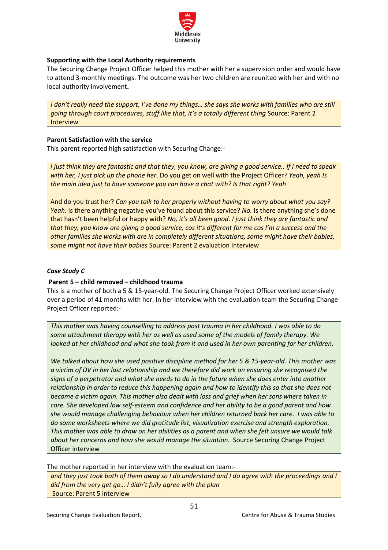

# **Supporting with the Local Authority requirements**

The Securing Change Project Officer helped this mother with her a supervision order and would have to attend 3-monthly meetings. The outcome was her two children are reunited with her and with no local authority involvement**.** 

*I don't really need the support, I've done my things… she says she works with families who are still going through court procedures, stuff like that, it's a totally different thing Source: Parent 2* Interview

## **Parent Satisfaction with the service**

This parent reported high satisfaction with Securing Change:-

*I just think they are fantastic and that they, you know, are giving a good service.. If I need to speak with her, I just pick up the phone her.* Do you get on well with the Project Officer*? Yeah, yeah Is the main idea just to have someone you can have a chat with? Is that right? Yeah*

And do you trust her? *Can you talk to her properly without having to worry about what you say? Yeah.* Is there anything negative you've found about this service? *No.* Is there anything she's done that hasn't been helpful or happy with? *No, it's all been good. I just think they are fantastic and that they, you know are giving a good service, cos it's different for me cos I'm a success and the other families she works with are in completely different situations, some might have their babies, some might not have their babies* Source: Parent 2 evaluation Interview

## <span id="page-50-0"></span>*Case Study C*

## **Parent 5 – child removed – childhood trauma**

This is a mother of both a 5 & 15-year-old. The Securing Change Project Officer worked extensively over a period of 41 months with her. In her interview with the evaluation team the Securing Change Project Officer reported:-

*This mother was having counselling to address past trauma in her childhood. I was able to do some attachment therapy with her as well as used some of the models of family therapy. We looked at her childhood and what she took from it and used in her own parenting for her children.* 

*We talked about how she used positive discipline method for her 5 & 15-year-old. This mother was a victim of DV in her last relationship and we therefore did work on ensuring she recognised the signs of a perpetrator and what she needs to do in the future when she does enter into another relationship in order to reduce this happening again and how to identify this so that she does not become a victim again. This mother also dealt with loss and grief when her sons where taken in care. She developed low self-esteem and confidence and her ability to be a good parent and how she would manage challenging behaviour when her children returned back her care. I was able to do some worksheets where we did gratitude list, visualization exercise and strength exploration. This mother was able to draw on her abilities as a parent and when she felt unsure we would talk about her concerns and how she would manage the situation.* Source Securing Change Project Officer interview

The mother reported in her interview with the evaluation team:-

*and they just took both of them away so I do understand and I do agree with the proceedings and I did from the very get go… I didn't fully agree with the plan* Source: Parent 5 interview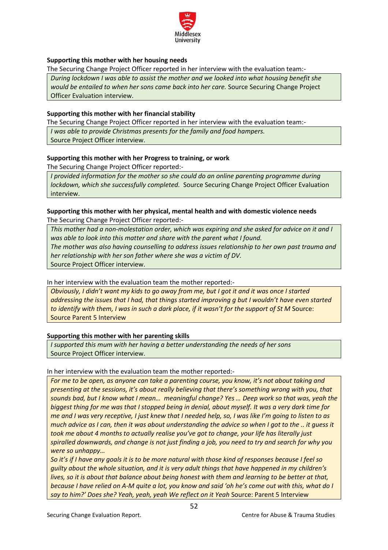

# **Supporting this mother with her housing needs**

The Securing Change Project Officer reported in her interview with the evaluation team:-

*During lockdown I was able to assist the mother and we looked into what housing benefit she would be entailed to when her sons came back into her care.* Source Securing Change Project Officer Evaluation interview.

## **Supporting this mother with her financial stability**

The Securing Change Project Officer reported in her interview with the evaluation team:-

*I was able to provide Christmas presents for the family and food hampers.* 

Source Project Officer interview.

## **Supporting this mother with her Progress to training, or work**

The Securing Change Project Officer reported:-

*I provided information for the mother so she could do an online parenting programme during lockdown, which she successfully completed.* Source Securing Change Project Officer Evaluation interview.

# **Supporting this mother with her physical, mental health and with domestic violence needs** The Securing Change Project Officer reported:-

*This mother had a non-molestation order, which was expiring and she asked for advice on it and I was able to look into this matter and share with the parent what I found. The mother was also having counselling to address issues relationship to her own past trauma and her relationship with her son father where she was a victim of DV.*  Source Project Officer interview.

In her interview with the evaluation team the mother reported:-

*Obviously, I didn't want my kids to go away from me, but I got it and it was once I started addressing the issues that I had, that things started improving g but I wouldn't have even started to identify with them, I was in such a dark place, if it wasn't for the support of St M Source:* Source Parent 5 Interview

## **Supporting this mother with her parenting skills**

*I supported this mum with her having a better understanding the needs of her sons*  Source Project Officer interview.

## In her interview with the evaluation team the mother reported:-

*For me to be open, as anyone can take a parenting course, you know, it's not about taking and presenting at the sessions, it's about really believing that there's something wrong with you, that sounds bad, but I know what I mean… meaningful change? Yes … Deep work so that was, yeah the biggest thing for me was that I stopped being in denial, about myself. It was a very dark time for me and I was very receptive, I just knew that I needed help, so, I was like I'm going to listen to as much advice as I can, then it was about understanding the advice so when I got to the .. it guess it took me about 4 months to actually realise you've got to change, your life has literally just spiralled downwards, and change is not just finding a job, you need to try and search for why you were so unhappy…* 

*So it's if I have any goals it is to be more natural with those kind of responses because I feel so guilty about the whole situation, and it is very adult things that have happened in my children's lives, so it is about that balance about being honest with them and learning to be better at that, because I have relied on A-M quite a lot, you know and said 'oh he's come out with this, what do I say to him?' Does she? Yeah, yeah, yeah We reflect on it Yeah* Source: Parent 5 Interview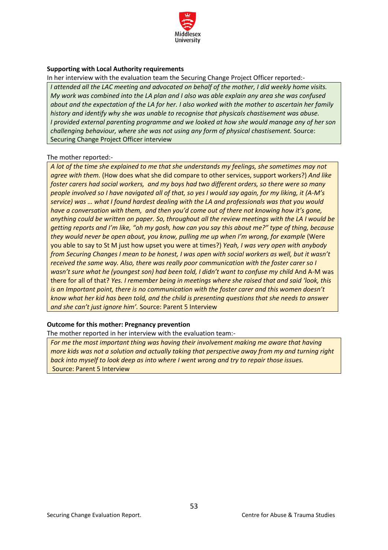

## **Supporting with Local Authority requirements**

In her interview with the evaluation team the Securing Change Project Officer reported:-

*I attended all the LAC meeting and advocated on behalf of the mother, I did weekly home visits. My work was combined into the LA plan and I also was able explain any area she was confused about and the expectation of the LA for her. I also worked with the mother to ascertain her family history and identify why she was unable to recognise that physicals chastisement was abuse. I provided external parenting programme and we looked at how she would manage any of her son challenging behaviour, where she was not using any form of physical chastisement.* Source: Securing Change Project Officer interview

## The mother reported:-

*A lot of the time she explained to me that she understands my feelings, she sometimes may not agree with them.* (How does what she did compare to other services, support workers?) *And like foster carers had social workers, and my boys had two different orders, so there were so many people involved so I have navigated all of that, so yes I would say again, for my liking, it (A-M's service) was … what I found hardest dealing with the LA and professionals was that you would have a conversation with them, and then you'd come out of there not knowing how it's gone, anything could be written on paper. So, throughout all the review meetings with the LA I would be getting reports and I'm like, "oh my gosh, how can you say this about me?" type of thing, because they would never be open about, you know, pulling me up when I'm wrong, for example (Were* you able to say to St M just how upset you were at times?) *Yeah, I was very open with anybody from Securing Changes I mean to be honest, I was open with social workers as well, but it wasn't received the same way. Also, there was really poor communication with the foster carer so I wasn't sure what he (youngest son) had been told, I didn't want to confuse my child And A-M was* there for all of that? *Yes. I remember being in meetings where she raised that and said 'look, this is an Important point, there is no communication with the foster carer and this women doesn't know what her kid has been told, and the child is presenting questions that she needs to answer and she can't just ignore him'.* Source: Parent 5 Interview

## **Outcome for this mother: Pregnancy prevention**

The mother reported in her interview with the evaluation team:-

*For me the most important thing was having their involvement making me aware that having more kids was not a solution and actually taking that perspective away from my and turning right back into myself to look deep as into where I went wrong and try to repair those issues.* Source: Parent 5 Interview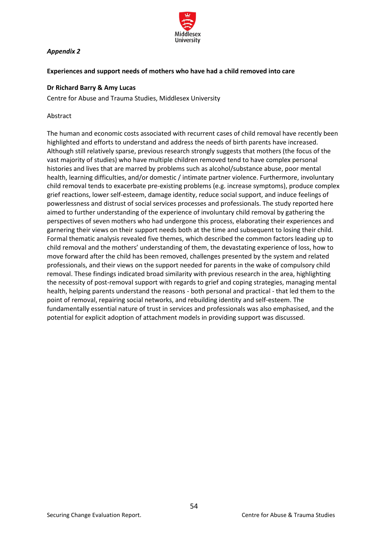

# <span id="page-53-0"></span>*Appendix 2*

## <span id="page-53-1"></span>**Experiences and support needs of mothers who have had a child removed into care**

## <span id="page-53-2"></span>**Dr Richard Barry & Amy Lucas**

Centre for Abuse and Trauma Studies, Middlesex University

#### Abstract

The human and economic costs associated with recurrent cases of child removal have recently been highlighted and efforts to understand and address the needs of birth parents have increased. Although still relatively sparse, previous research strongly suggests that mothers (the focus of the vast majority of studies) who have multiple children removed tend to have complex personal histories and lives that are marred by problems such as alcohol/substance abuse, poor mental health, learning difficulties, and/or domestic / intimate partner violence. Furthermore, involuntary child removal tends to exacerbate pre-existing problems (e.g. increase symptoms), produce complex grief reactions, lower self-esteem, damage identity, reduce social support, and induce feelings of powerlessness and distrust of social services processes and professionals. The study reported here aimed to further understanding of the experience of involuntary child removal by gathering the perspectives of seven mothers who had undergone this process, elaborating their experiences and garnering their views on their support needs both at the time and subsequent to losing their child. Formal thematic analysis revealed five themes, which described the common factors leading up to child removal and the mothers' understanding of them, the devastating experience of loss, how to move forward after the child has been removed, challenges presented by the system and related professionals, and their views on the support needed for parents in the wake of compulsory child removal. These findings indicated broad similarity with previous research in the area, highlighting the necessity of post-removal support with regards to grief and coping strategies, managing mental health, helping parents understand the reasons - both personal and practical - that led them to the point of removal, repairing social networks, and rebuilding identity and self-esteem. The fundamentally essential nature of trust in services and professionals was also emphasised, and the potential for explicit adoption of attachment models in providing support was discussed.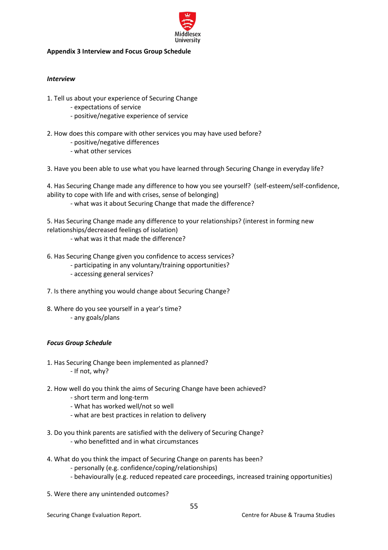

## <span id="page-54-0"></span>**Appendix 3 Interview and Focus Group Schedule**

## <span id="page-54-1"></span>*Interview*

- 1. Tell us about your experience of Securing Change
	- expectations of service
	- positive/negative experience of service
- 2. How does this compare with other services you may have used before?
	- positive/negative differences
	- what other services

3. Have you been able to use what you have learned through Securing Change in everyday life?

4. Has Securing Change made any difference to how you see yourself? (self-esteem/self-confidence, ability to cope with life and with crises, sense of belonging)

- what was it about Securing Change that made the difference?

5. Has Securing Change made any difference to your relationships? (interest in forming new relationships/decreased feelings of isolation)

- what was it that made the difference?
- 6. Has Securing Change given you confidence to access services?
	- participating in any voluntary/training opportunities?
	- accessing general services?
- 7. Is there anything you would change about Securing Change?
- 8. Where do you see yourself in a year's time? - any goals/plans

## <span id="page-54-2"></span>*Focus Group Schedule*

- 1. Has Securing Change been implemented as planned? - If not, why?
- 2. How well do you think the aims of Securing Change have been achieved?
	- short term and long-term
	- What has worked well/not so well
	- what are best practices in relation to delivery
- 3. Do you think parents are satisfied with the delivery of Securing Change?
	- who benefitted and in what circumstances
- 4. What do you think the impact of Securing Change on parents has been?
	- personally (e.g. confidence/coping/relationships)
	- behaviourally (e.g. reduced repeated care proceedings, increased training opportunities)

55

5. Were there any unintended outcomes?